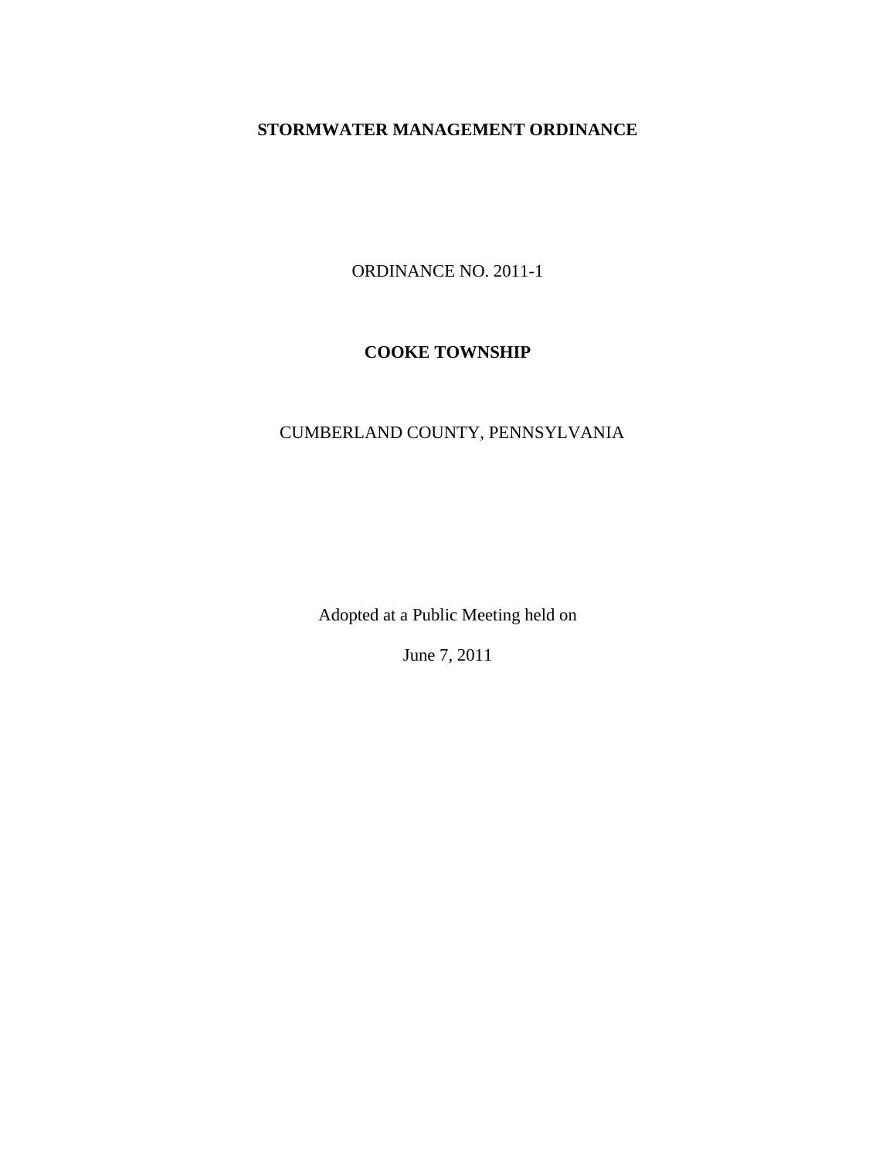# **STORMWATER MANAGEMENT ORDINANCE**

ORDINANCE NO. 2011-1

# **COOKE TOWNSHIP**

# CUMBERLAND COUNTY, PENNSYLVANIA

Adopted at a Public Meeting held on

June 7, 2011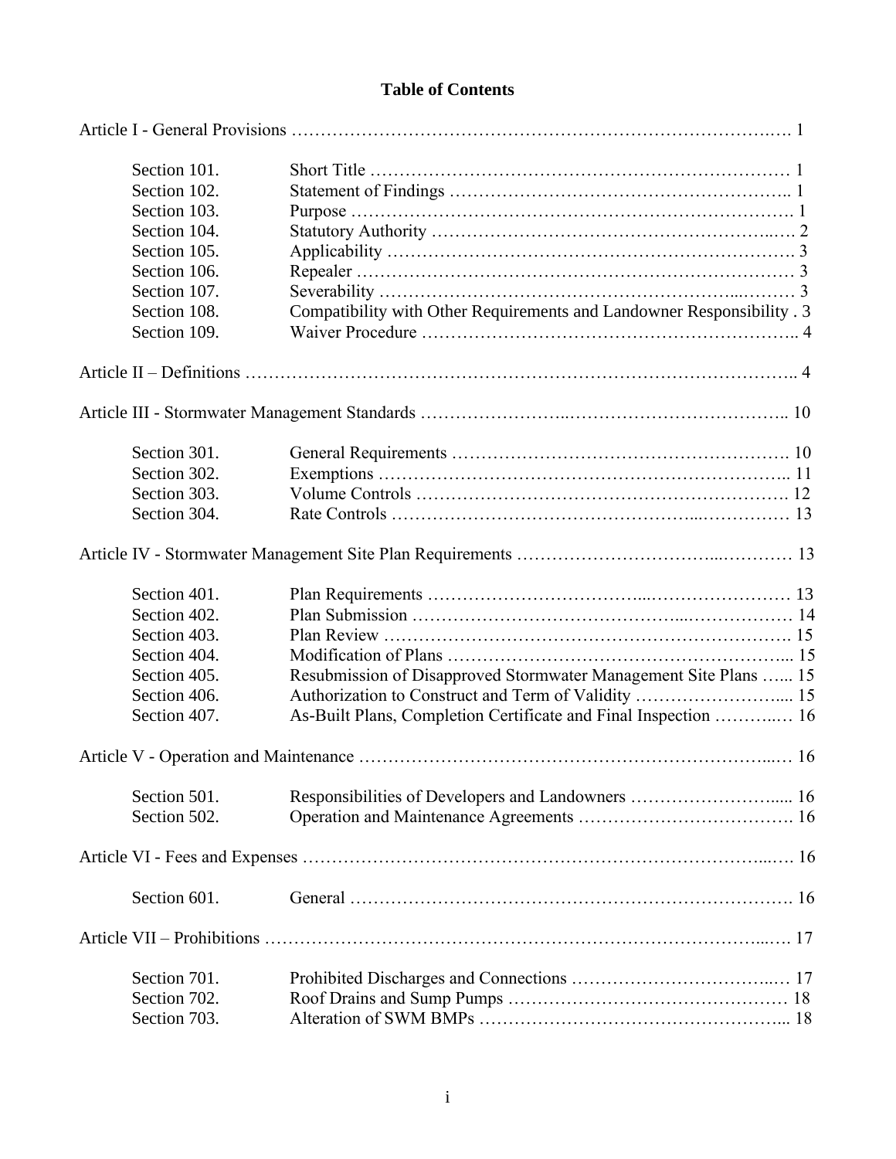# **Table of Contents**

| Section 101. |                                                                        |  |
|--------------|------------------------------------------------------------------------|--|
| Section 102. |                                                                        |  |
| Section 103. |                                                                        |  |
| Section 104. |                                                                        |  |
| Section 105. |                                                                        |  |
| Section 106. |                                                                        |  |
| Section 107. |                                                                        |  |
| Section 108. | Compatibility with Other Requirements and Landowner Responsibility . 3 |  |
| Section 109. |                                                                        |  |
|              |                                                                        |  |
|              |                                                                        |  |
| Section 301. |                                                                        |  |
| Section 302. |                                                                        |  |
| Section 303. |                                                                        |  |
| Section 304. |                                                                        |  |
|              |                                                                        |  |
| Section 401. |                                                                        |  |
| Section 402. |                                                                        |  |
| Section 403. |                                                                        |  |
| Section 404. |                                                                        |  |
| Section 405. | Resubmission of Disapproved Stormwater Management Site Plans  15       |  |
| Section 406. | Authorization to Construct and Term of Validity  15                    |  |
| Section 407. | As-Built Plans, Completion Certificate and Final Inspection  16        |  |
|              |                                                                        |  |
| Section 501. |                                                                        |  |
| Section 502. |                                                                        |  |
|              |                                                                        |  |
| Section 601. |                                                                        |  |
|              |                                                                        |  |
| Section 701. |                                                                        |  |
| Section 702. |                                                                        |  |
| Section 703. |                                                                        |  |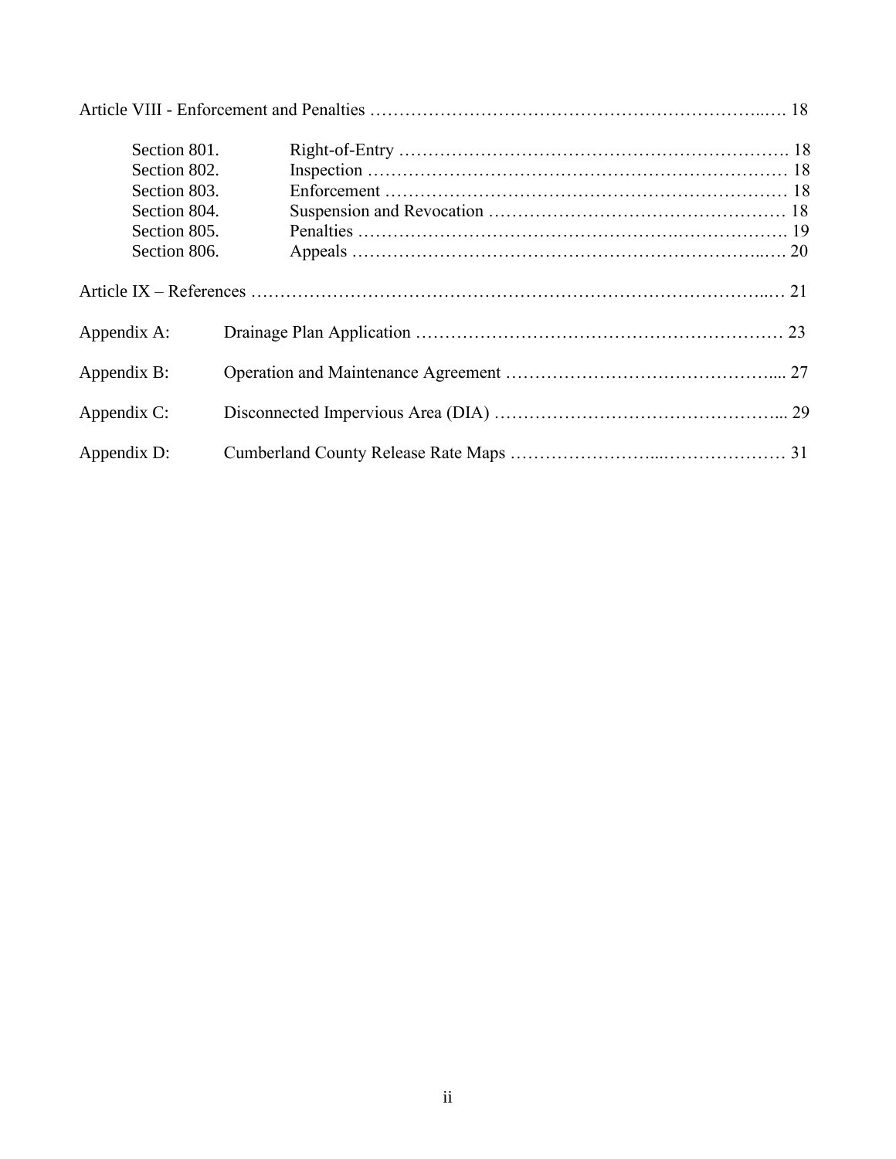| Section 801. |  |
|--------------|--|
| Section 802. |  |
| Section 803. |  |
| Section 804. |  |
| Section 805. |  |
| Section 806. |  |
|              |  |
| Appendix A:  |  |
| Appendix B:  |  |
| Appendix C:  |  |
| Appendix D:  |  |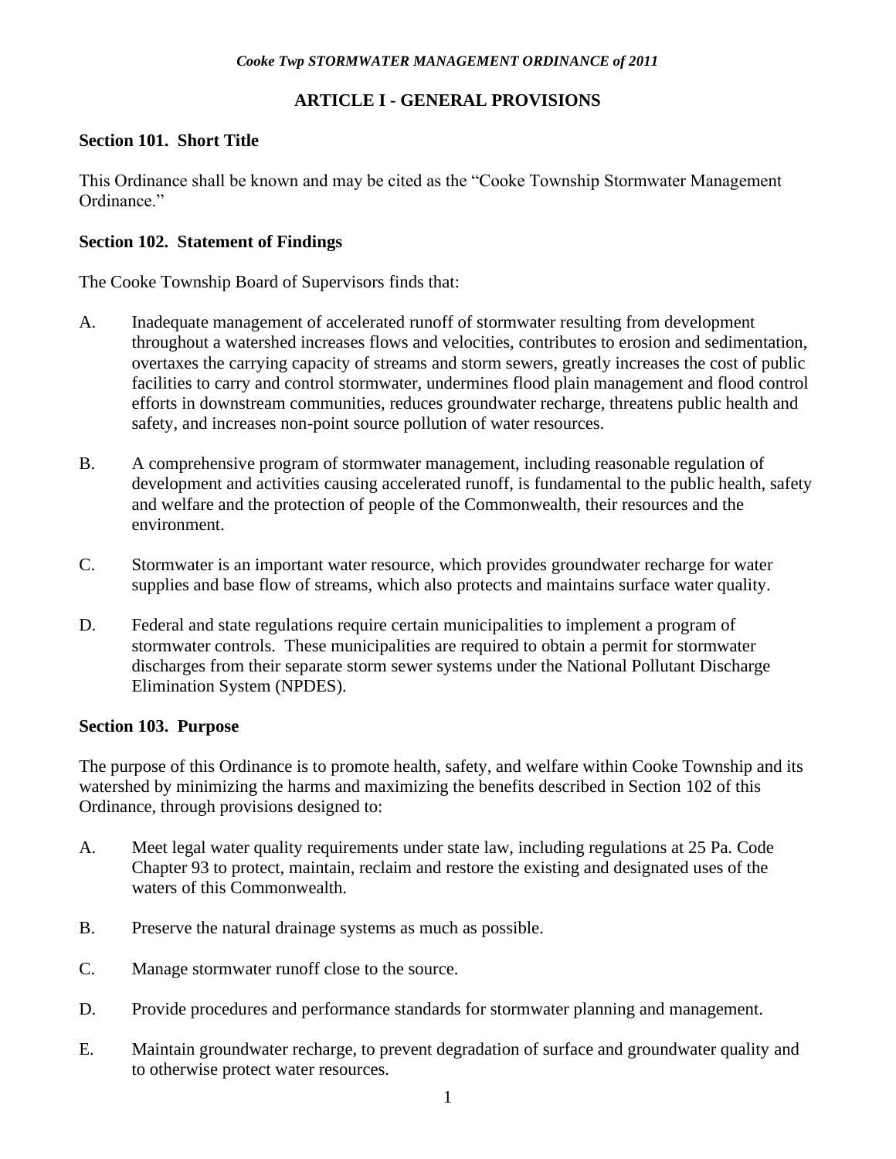# **ARTICLE I - GENERAL PROVISIONS**

# **Section 101. Short Title**

This Ordinance shall be known and may be cited as the "Cooke Township Stormwater Management Ordinance."

### **Section 102. Statement of Findings**

The Cooke Township Board of Supervisors finds that:

- A. Inadequate management of accelerated runoff of stormwater resulting from development throughout a watershed increases flows and velocities, contributes to erosion and sedimentation, overtaxes the carrying capacity of streams and storm sewers, greatly increases the cost of public facilities to carry and control stormwater, undermines flood plain management and flood control efforts in downstream communities, reduces groundwater recharge, threatens public health and safety, and increases non-point source pollution of water resources.
- B. A comprehensive program of stormwater management, including reasonable regulation of development and activities causing accelerated runoff, is fundamental to the public health, safety and welfare and the protection of people of the Commonwealth, their resources and the environment.
- C. Stormwater is an important water resource, which provides groundwater recharge for water supplies and base flow of streams, which also protects and maintains surface water quality.
- D. Federal and state regulations require certain municipalities to implement a program of stormwater controls. These municipalities are required to obtain a permit for stormwater discharges from their separate storm sewer systems under the National Pollutant Discharge Elimination System (NPDES).

### **Section 103. Purpose**

The purpose of this Ordinance is to promote health, safety, and welfare within Cooke Township and its watershed by minimizing the harms and maximizing the benefits described in Section 102 of this Ordinance, through provisions designed to:

- A. Meet legal water quality requirements under state law, including regulations at 25 Pa. Code Chapter 93 to protect, maintain, reclaim and restore the existing and designated uses of the waters of this Commonwealth.
- B. Preserve the natural drainage systems as much as possible.
- C. Manage stormwater runoff close to the source.
- D. Provide procedures and performance standards for stormwater planning and management.
- E. Maintain groundwater recharge, to prevent degradation of surface and groundwater quality and to otherwise protect water resources.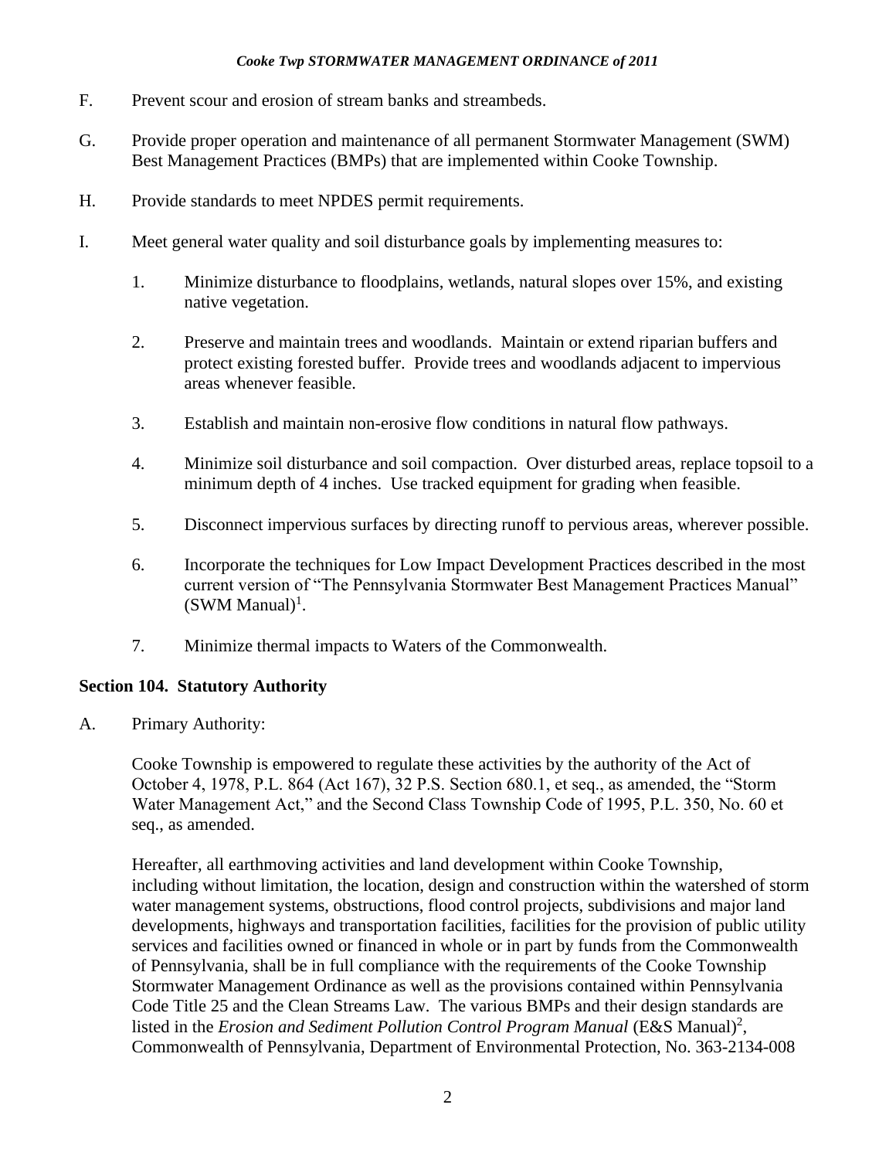- F. Prevent scour and erosion of stream banks and streambeds.
- G. Provide proper operation and maintenance of all permanent Stormwater Management (SWM) Best Management Practices (BMPs) that are implemented within Cooke Township.
- H. Provide standards to meet NPDES permit requirements.
- I. Meet general water quality and soil disturbance goals by implementing measures to:
	- 1. Minimize disturbance to floodplains, wetlands, natural slopes over 15%, and existing native vegetation.
	- 2. Preserve and maintain trees and woodlands. Maintain or extend riparian buffers and protect existing forested buffer. Provide trees and woodlands adjacent to impervious areas whenever feasible.
	- 3. Establish and maintain non-erosive flow conditions in natural flow pathways.
	- 4. Minimize soil disturbance and soil compaction. Over disturbed areas, replace topsoil to a minimum depth of 4 inches. Use tracked equipment for grading when feasible.
	- 5. Disconnect impervious surfaces by directing runoff to pervious areas, wherever possible.
	- 6. Incorporate the techniques for Low Impact Development Practices described in the most current version of "The Pennsylvania Stormwater Best Management Practices Manual"  $(SWM Manual)^1$ .
	- 7. Minimize thermal impacts to Waters of the Commonwealth.

# **Section 104. Statutory Authority**

A. Primary Authority:

Cooke Township is empowered to regulate these activities by the authority of the Act of October 4, 1978, P.L. 864 (Act 167), 32 P.S. Section 680.1, et seq., as amended, the "Storm Water Management Act," and the Second Class Township Code of 1995, P.L. 350, No. 60 et seq., as amended.

Hereafter, all earthmoving activities and land development within Cooke Township, including without limitation, the location, design and construction within the watershed of storm water management systems, obstructions, flood control projects, subdivisions and major land developments, highways and transportation facilities, facilities for the provision of public utility services and facilities owned or financed in whole or in part by funds from the Commonwealth of Pennsylvania, shall be in full compliance with the requirements of the Cooke Township Stormwater Management Ordinance as well as the provisions contained within Pennsylvania Code Title 25 and the Clean Streams Law. The various BMPs and their design standards are listed in the *Erosion and Sediment Pollution Control Program Manual* (E&S Manual)<sup>2</sup>, Commonwealth of Pennsylvania, Department of Environmental Protection, No. 363-2134-008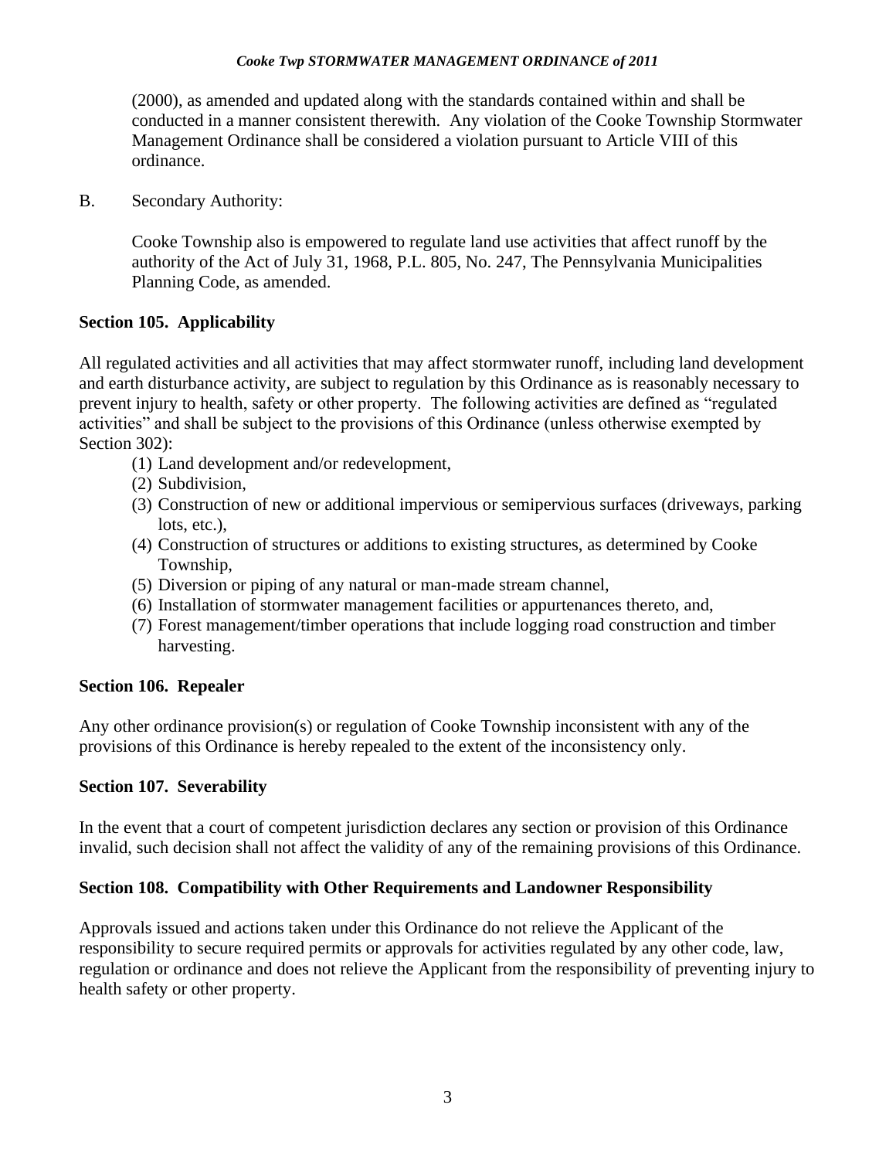(2000), as amended and updated along with the standards contained within and shall be conducted in a manner consistent therewith. Any violation of the Cooke Township Stormwater Management Ordinance shall be considered a violation pursuant to Article VIII of this ordinance.

B. Secondary Authority:

Cooke Township also is empowered to regulate land use activities that affect runoff by the authority of the Act of July 31, 1968, P.L. 805, No. 247, The Pennsylvania Municipalities Planning Code, as amended.

### **Section 105. Applicability**

All regulated activities and all activities that may affect stormwater runoff, including land development and earth disturbance activity, are subject to regulation by this Ordinance as is reasonably necessary to prevent injury to health, safety or other property. The following activities are defined as "regulated activities" and shall be subject to the provisions of this Ordinance (unless otherwise exempted by Section 302):

- (1) Land development and/or redevelopment,
- (2) Subdivision,
- (3) Construction of new or additional impervious or semipervious surfaces (driveways, parking lots, etc.),
- (4) Construction of structures or additions to existing structures, as determined by Cooke Township,
- (5) Diversion or piping of any natural or man-made stream channel,
- (6) Installation of stormwater management facilities or appurtenances thereto, and,
- (7) Forest management/timber operations that include logging road construction and timber harvesting.

### **Section 106. Repealer**

Any other ordinance provision(s) or regulation of Cooke Township inconsistent with any of the provisions of this Ordinance is hereby repealed to the extent of the inconsistency only.

### **Section 107. Severability**

In the event that a court of competent jurisdiction declares any section or provision of this Ordinance invalid, such decision shall not affect the validity of any of the remaining provisions of this Ordinance.

### **Section 108. Compatibility with Other Requirements and Landowner Responsibility**

Approvals issued and actions taken under this Ordinance do not relieve the Applicant of the responsibility to secure required permits or approvals for activities regulated by any other code, law, regulation or ordinance and does not relieve the Applicant from the responsibility of preventing injury to health safety or other property.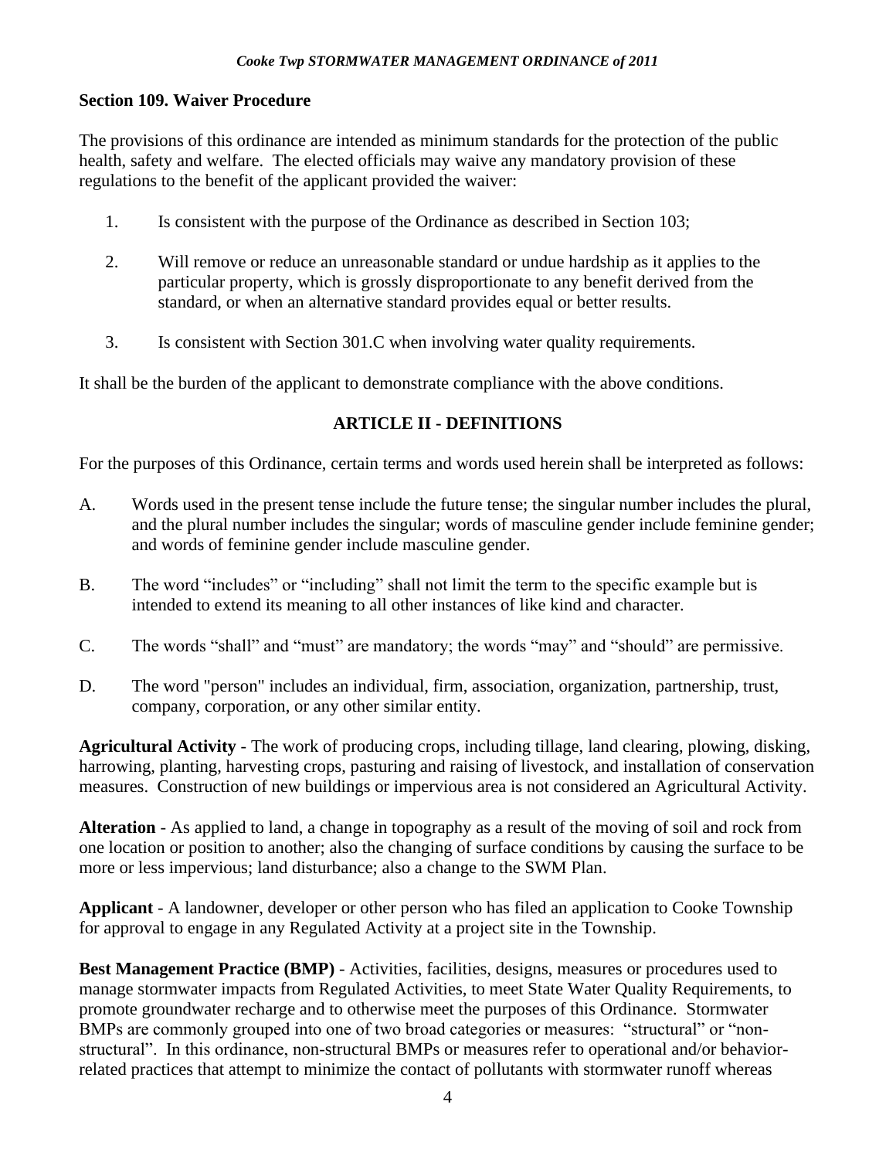### **Section 109. Waiver Procedure**

The provisions of this ordinance are intended as minimum standards for the protection of the public health, safety and welfare. The elected officials may waive any mandatory provision of these regulations to the benefit of the applicant provided the waiver:

- 1. Is consistent with the purpose of the Ordinance as described in Section 103;
- 2. Will remove or reduce an unreasonable standard or undue hardship as it applies to the particular property, which is grossly disproportionate to any benefit derived from the standard, or when an alternative standard provides equal or better results.
- 3. Is consistent with Section 301.C when involving water quality requirements.

It shall be the burden of the applicant to demonstrate compliance with the above conditions.

# **ARTICLE II - DEFINITIONS**

For the purposes of this Ordinance, certain terms and words used herein shall be interpreted as follows:

- A. Words used in the present tense include the future tense; the singular number includes the plural, and the plural number includes the singular; words of masculine gender include feminine gender; and words of feminine gender include masculine gender.
- B. The word "includes" or "including" shall not limit the term to the specific example but is intended to extend its meaning to all other instances of like kind and character.
- C. The words "shall" and "must" are mandatory; the words "may" and "should" are permissive.
- D. The word "person" includes an individual, firm, association, organization, partnership, trust, company, corporation, or any other similar entity.

**Agricultural Activity** - The work of producing crops, including tillage, land clearing, plowing, disking, harrowing, planting, harvesting crops, pasturing and raising of livestock, and installation of conservation measures. Construction of new buildings or impervious area is not considered an Agricultural Activity.

**Alteration** - As applied to land, a change in topography as a result of the moving of soil and rock from one location or position to another; also the changing of surface conditions by causing the surface to be more or less impervious; land disturbance; also a change to the SWM Plan.

**Applicant** - A landowner, developer or other person who has filed an application to Cooke Township for approval to engage in any Regulated Activity at a project site in the Township.

**Best Management Practice (BMP)** - Activities, facilities, designs, measures or procedures used to manage stormwater impacts from Regulated Activities, to meet State Water Quality Requirements, to promote groundwater recharge and to otherwise meet the purposes of this Ordinance. Stormwater BMPs are commonly grouped into one of two broad categories or measures: "structural" or "nonstructural". In this ordinance, non-structural BMPs or measures refer to operational and/or behaviorrelated practices that attempt to minimize the contact of pollutants with stormwater runoff whereas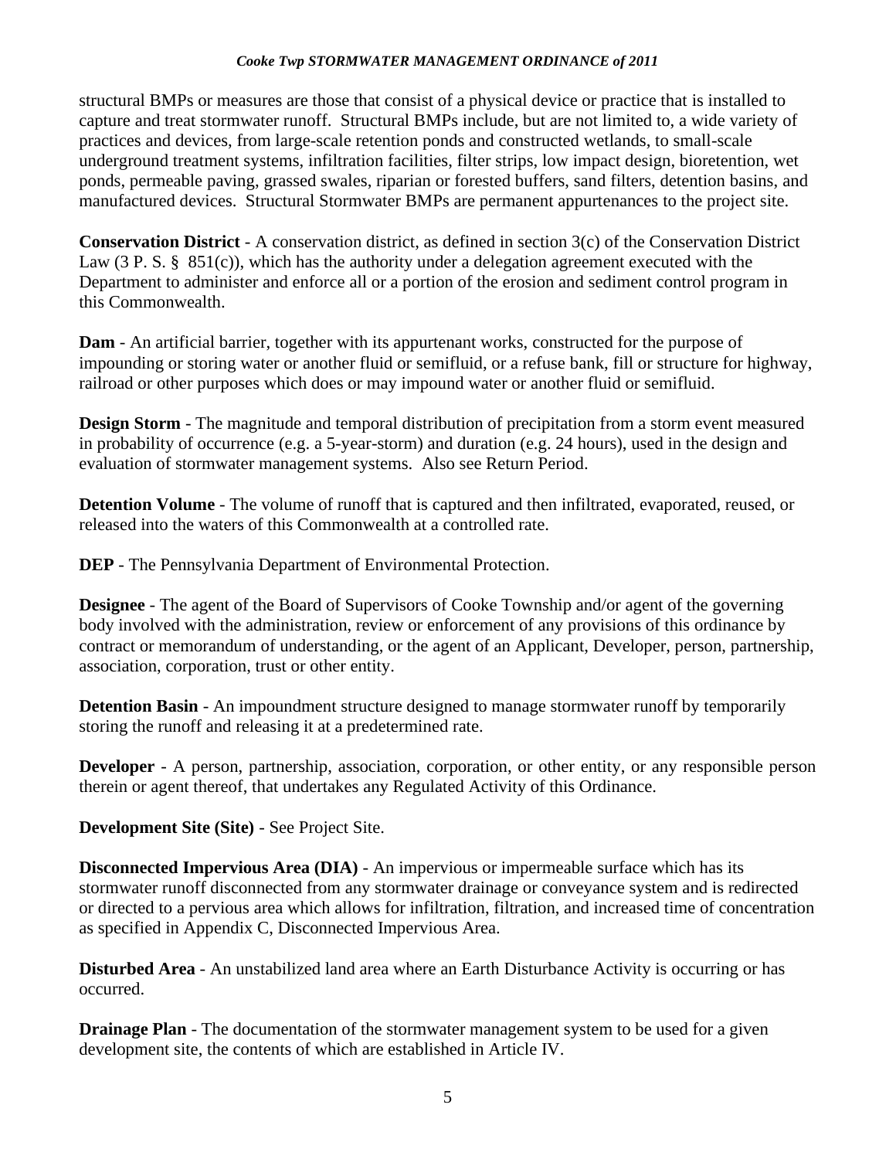structural BMPs or measures are those that consist of a physical device or practice that is installed to capture and treat stormwater runoff. Structural BMPs include, but are not limited to, a wide variety of practices and devices, from large-scale retention ponds and constructed wetlands, to small-scale underground treatment systems, infiltration facilities, filter strips, low impact design, bioretention, wet ponds, permeable paving, grassed swales, riparian or forested buffers, sand filters, detention basins, and manufactured devices. Structural Stormwater BMPs are permanent appurtenances to the project site.

**Conservation District** - A conservation district, as defined in section 3(c) of the Conservation District Law  $(3 \text{ P. S. } \S 851(c))$ , which has the authority under a delegation agreement executed with the Department to administer and enforce all or a portion of the erosion and sediment control program in this Commonwealth.

**Dam** - An artificial barrier, together with its appurtenant works, constructed for the purpose of impounding or storing water or another fluid or semifluid, or a refuse bank, fill or structure for highway, railroad or other purposes which does or may impound water or another fluid or semifluid.

**Design Storm** - The magnitude and temporal distribution of precipitation from a storm event measured in probability of occurrence (e.g. a 5-year-storm) and duration (e.g. 24 hours), used in the design and evaluation of stormwater management systems. Also see Return Period.

**Detention Volume** - The volume of runoff that is captured and then infiltrated, evaporated, reused, or released into the waters of this Commonwealth at a controlled rate.

**DEP** - The Pennsylvania Department of Environmental Protection.

**Designee** - The agent of the Board of Supervisors of Cooke Township and/or agent of the governing body involved with the administration, review or enforcement of any provisions of this ordinance by contract or memorandum of understanding, or the agent of an Applicant, Developer, person, partnership, association, corporation, trust or other entity.

**Detention Basin** - An impoundment structure designed to manage stormwater runoff by temporarily storing the runoff and releasing it at a predetermined rate.

**Developer** - A person, partnership, association, corporation, or other entity, or any responsible person therein or agent thereof, that undertakes any Regulated Activity of this Ordinance.

**Development Site (Site)** - See Project Site.

**Disconnected Impervious Area (DIA)** - An impervious or impermeable surface which has its stormwater runoff disconnected from any stormwater drainage or conveyance system and is redirected or directed to a pervious area which allows for infiltration, filtration, and increased time of concentration as specified in Appendix C, Disconnected Impervious Area.

**Disturbed Area** - An unstabilized land area where an Earth Disturbance Activity is occurring or has occurred.

**Drainage Plan** - The documentation of the stormwater management system to be used for a given development site, the contents of which are established in Article IV.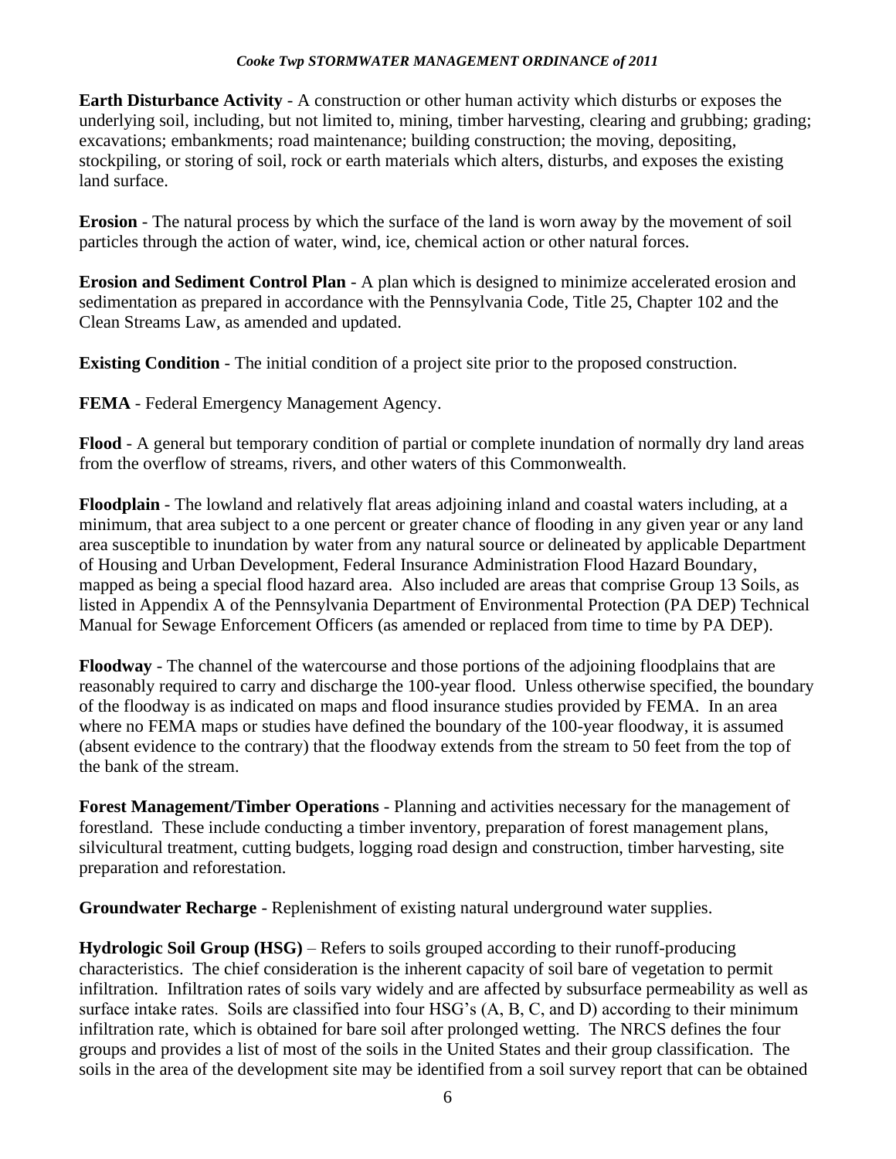**Earth Disturbance Activity** - A construction or other human activity which disturbs or exposes the underlying soil, including, but not limited to, mining, timber harvesting, clearing and grubbing; grading; excavations; embankments; road maintenance; building construction; the moving, depositing, stockpiling, or storing of soil, rock or earth materials which alters, disturbs, and exposes the existing land surface.

**Erosion** - The natural process by which the surface of the land is worn away by the movement of soil particles through the action of water, wind, ice, chemical action or other natural forces.

**Erosion and Sediment Control Plan** - A plan which is designed to minimize accelerated erosion and sedimentation as prepared in accordance with the Pennsylvania Code, Title 25, Chapter 102 and the Clean Streams Law, as amended and updated.

**Existing Condition** - The initial condition of a project site prior to the proposed construction.

**FEMA** - Federal Emergency Management Agency.

**Flood** - A general but temporary condition of partial or complete inundation of normally dry land areas from the overflow of streams, rivers, and other waters of this Commonwealth.

**Floodplain** - The lowland and relatively flat areas adjoining inland and coastal waters including, at a minimum, that area subject to a one percent or greater chance of flooding in any given year or any land area susceptible to inundation by water from any natural source or delineated by applicable Department of Housing and Urban Development, Federal Insurance Administration Flood Hazard Boundary, mapped as being a special flood hazard area. Also included are areas that comprise Group 13 Soils, as listed in Appendix A of the Pennsylvania Department of Environmental Protection (PA DEP) Technical Manual for Sewage Enforcement Officers (as amended or replaced from time to time by PA DEP).

**Floodway** - The channel of the watercourse and those portions of the adjoining floodplains that are reasonably required to carry and discharge the 100-year flood. Unless otherwise specified, the boundary of the floodway is as indicated on maps and flood insurance studies provided by FEMA. In an area where no FEMA maps or studies have defined the boundary of the 100-year floodway, it is assumed (absent evidence to the contrary) that the floodway extends from the stream to 50 feet from the top of the bank of the stream.

**Forest Management/Timber Operations** - Planning and activities necessary for the management of forestland. These include conducting a timber inventory, preparation of forest management plans, silvicultural treatment, cutting budgets, logging road design and construction, timber harvesting, site preparation and reforestation.

**Groundwater Recharge** - Replenishment of existing natural underground water supplies.

**Hydrologic Soil Group (HSG)** – Refers to soils grouped according to their runoff-producing characteristics. The chief consideration is the inherent capacity of soil bare of vegetation to permit infiltration. Infiltration rates of soils vary widely and are affected by subsurface permeability as well as surface intake rates. Soils are classified into four HSG's (A, B, C, and D) according to their minimum infiltration rate, which is obtained for bare soil after prolonged wetting. The NRCS defines the four groups and provides a list of most of the soils in the United States and their group classification. The soils in the area of the development site may be identified from a soil survey report that can be obtained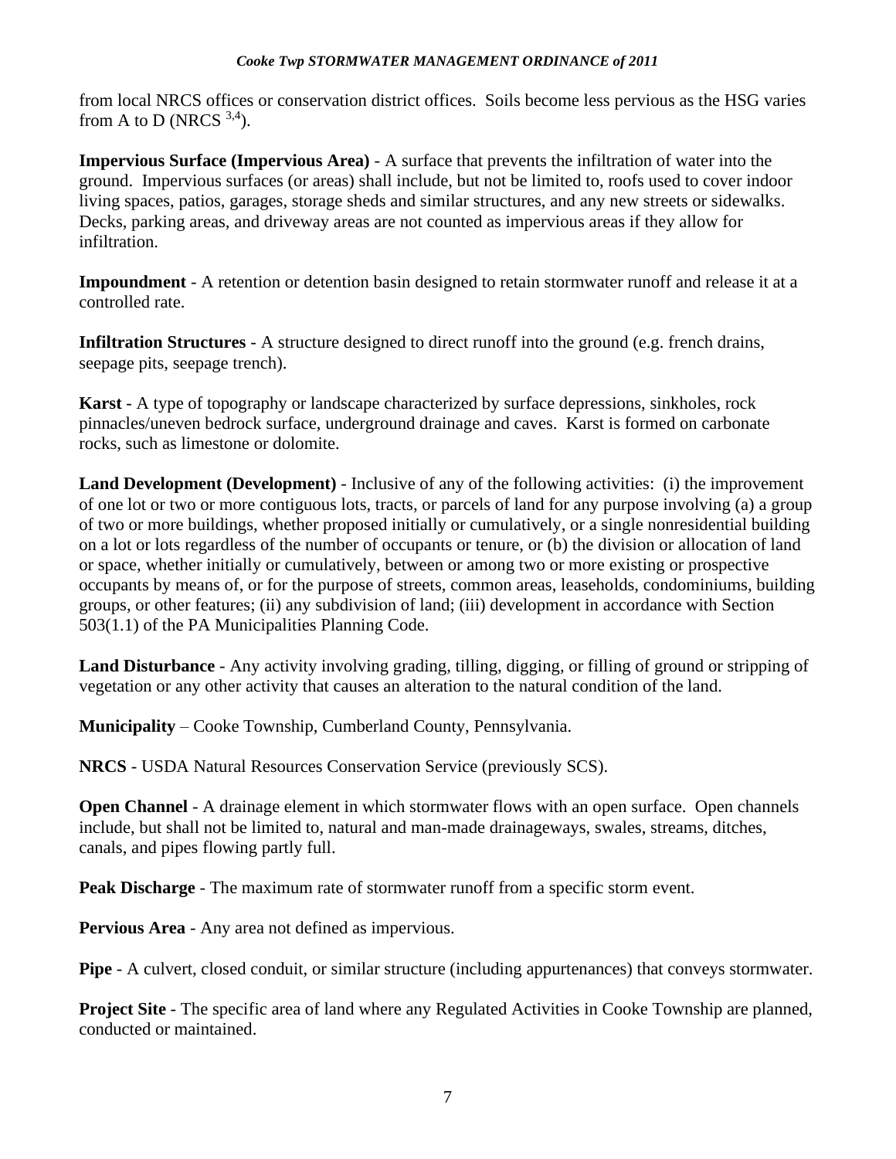from local NRCS offices or conservation district offices. Soils become less pervious as the HSG varies from A to D (NRCS  $3,4$ ).

**Impervious Surface (Impervious Area)** - A surface that prevents the infiltration of water into the ground. Impervious surfaces (or areas) shall include, but not be limited to, roofs used to cover indoor living spaces, patios, garages, storage sheds and similar structures, and any new streets or sidewalks. Decks, parking areas, and driveway areas are not counted as impervious areas if they allow for infiltration.

**Impoundment** - A retention or detention basin designed to retain stormwater runoff and release it at a controlled rate.

**Infiltration Structures** - A structure designed to direct runoff into the ground (e.g. french drains, seepage pits, seepage trench).

**Karst** - A type of topography or landscape characterized by surface depressions, sinkholes, rock pinnacles/uneven bedrock surface, underground drainage and caves. Karst is formed on carbonate rocks, such as limestone or dolomite.

**Land Development (Development)** - Inclusive of any of the following activities: (i) the improvement of one lot or two or more contiguous lots, tracts, or parcels of land for any purpose involving (a) a group of two or more buildings, whether proposed initially or cumulatively, or a single nonresidential building on a lot or lots regardless of the number of occupants or tenure, or (b) the division or allocation of land or space, whether initially or cumulatively, between or among two or more existing or prospective occupants by means of, or for the purpose of streets, common areas, leaseholds, condominiums, building groups, or other features; (ii) any subdivision of land; (iii) development in accordance with Section 503(1.1) of the PA Municipalities Planning Code.

**Land Disturbance** - Any activity involving grading, tilling, digging, or filling of ground or stripping of vegetation or any other activity that causes an alteration to the natural condition of the land.

**Municipality** – Cooke Township, Cumberland County, Pennsylvania.

**NRCS** - USDA Natural Resources Conservation Service (previously SCS).

**Open Channel** - A drainage element in which stormwater flows with an open surface. Open channels include, but shall not be limited to, natural and man-made drainageways, swales, streams, ditches, canals, and pipes flowing partly full.

**Peak Discharge** - The maximum rate of stormwater runoff from a specific storm event.

**Pervious Area** - Any area not defined as impervious.

**Pipe** - A culvert, closed conduit, or similar structure (including appurtenances) that conveys stormwater.

**Project Site** - The specific area of land where any Regulated Activities in Cooke Township are planned, conducted or maintained.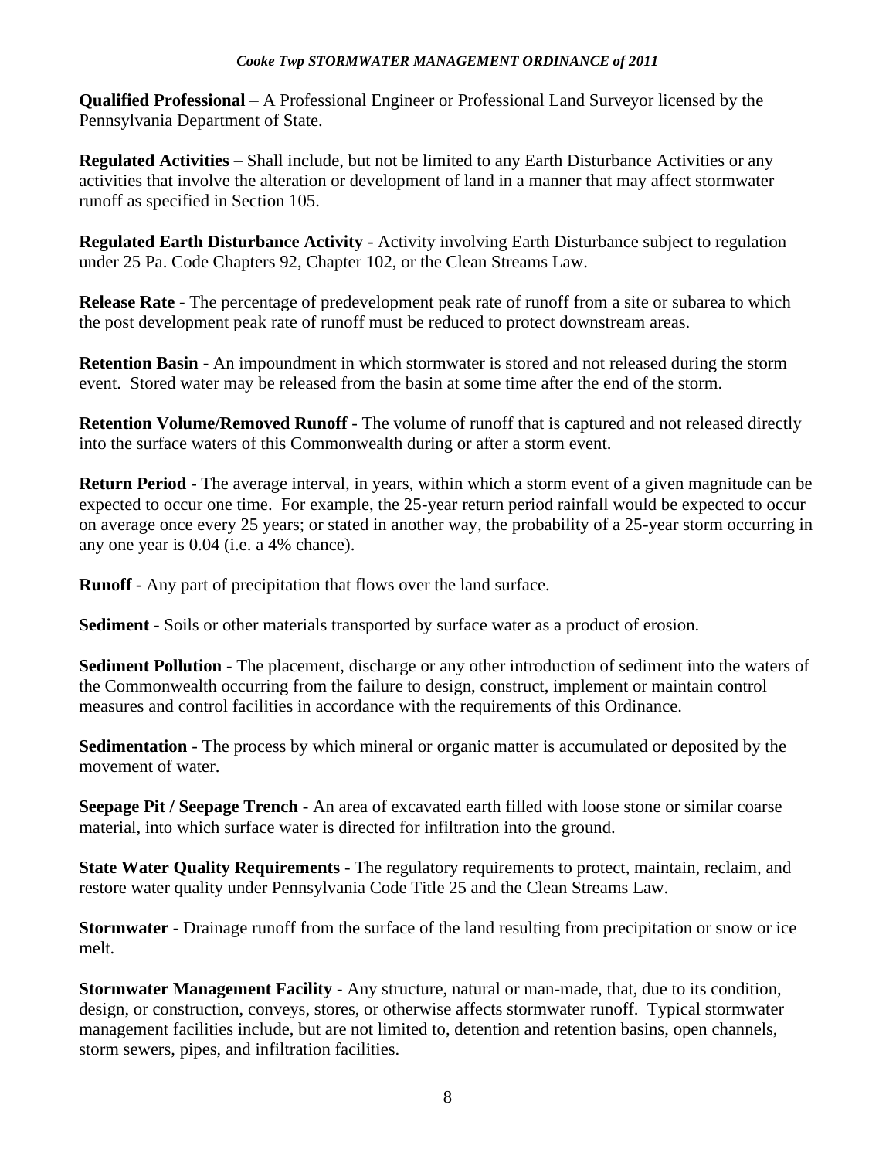**Qualified Professional** – A Professional Engineer or Professional Land Surveyor licensed by the Pennsylvania Department of State.

**Regulated Activities** – Shall include, but not be limited to any Earth Disturbance Activities or any activities that involve the alteration or development of land in a manner that may affect stormwater runoff as specified in Section 105.

**Regulated Earth Disturbance Activity** - Activity involving Earth Disturbance subject to regulation under 25 Pa. Code Chapters 92, Chapter 102, or the Clean Streams Law.

**Release Rate** - The percentage of predevelopment peak rate of runoff from a site or subarea to which the post development peak rate of runoff must be reduced to protect downstream areas.

**Retention Basin** - An impoundment in which stormwater is stored and not released during the storm event. Stored water may be released from the basin at some time after the end of the storm.

**Retention Volume/Removed Runoff** - The volume of runoff that is captured and not released directly into the surface waters of this Commonwealth during or after a storm event.

**Return Period** - The average interval, in years, within which a storm event of a given magnitude can be expected to occur one time. For example, the 25-year return period rainfall would be expected to occur on average once every 25 years; or stated in another way, the probability of a 25-year storm occurring in any one year is 0.04 (i.e. a 4% chance).

**Runoff** - Any part of precipitation that flows over the land surface.

**Sediment** - Soils or other materials transported by surface water as a product of erosion.

**Sediment Pollution** - The placement, discharge or any other introduction of sediment into the waters of the Commonwealth occurring from the failure to design, construct, implement or maintain control measures and control facilities in accordance with the requirements of this Ordinance.

**Sedimentation** - The process by which mineral or organic matter is accumulated or deposited by the movement of water.

**Seepage Pit / Seepage Trench** - An area of excavated earth filled with loose stone or similar coarse material, into which surface water is directed for infiltration into the ground.

**State Water Quality Requirements** - The regulatory requirements to protect, maintain, reclaim, and restore water quality under Pennsylvania Code Title 25 and the Clean Streams Law.

**Stormwater** - Drainage runoff from the surface of the land resulting from precipitation or snow or ice melt.

**Stormwater Management Facility** - Any structure, natural or man-made, that, due to its condition, design, or construction, conveys, stores, or otherwise affects stormwater runoff. Typical stormwater management facilities include, but are not limited to, detention and retention basins, open channels, storm sewers, pipes, and infiltration facilities.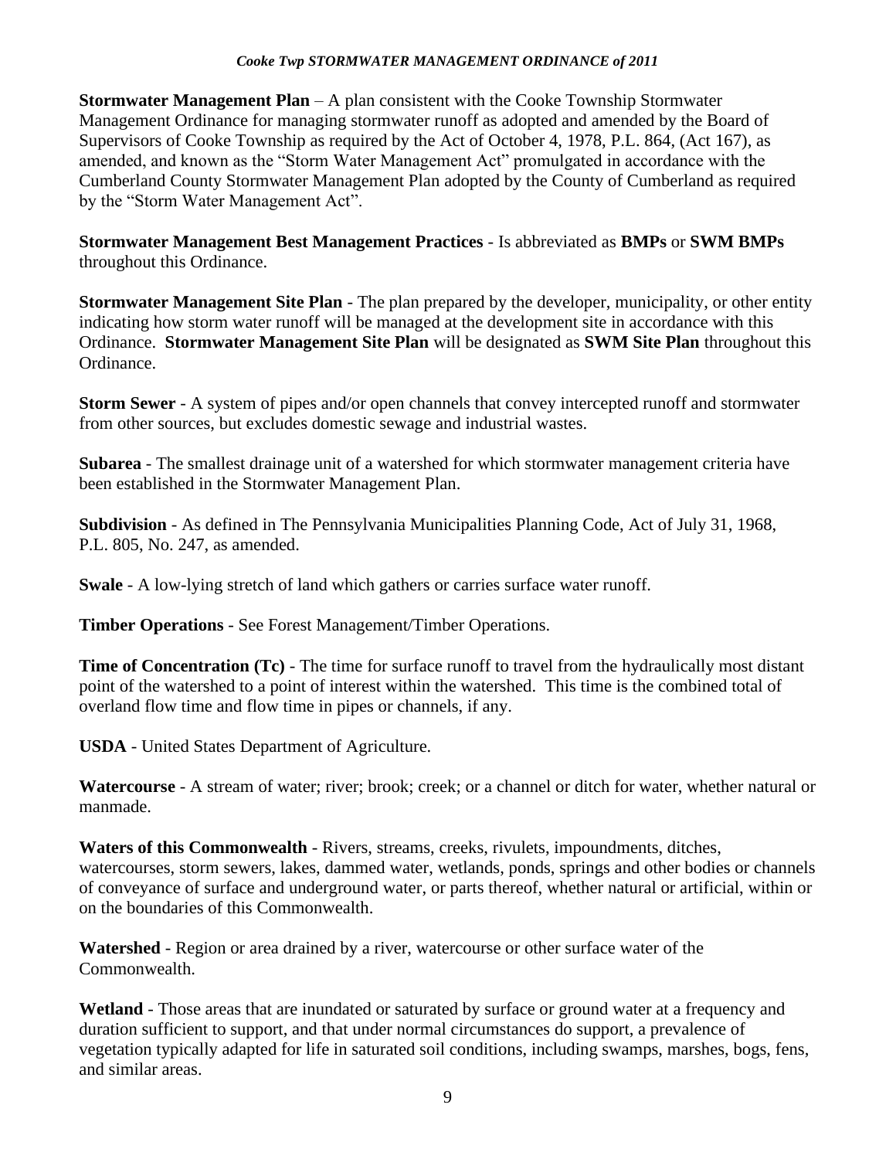**Stormwater Management Plan** – A plan consistent with the Cooke Township Stormwater Management Ordinance for managing stormwater runoff as adopted and amended by the Board of Supervisors of Cooke Township as required by the Act of October 4, 1978, P.L. 864, (Act 167), as amended, and known as the "Storm Water Management Act" promulgated in accordance with the Cumberland County Stormwater Management Plan adopted by the County of Cumberland as required by the "Storm Water Management Act".

**Stormwater Management Best Management Practices** - Is abbreviated as **BMPs** or **SWM BMPs** throughout this Ordinance.

**Stormwater Management Site Plan** - The plan prepared by the developer, municipality, or other entity indicating how storm water runoff will be managed at the development site in accordance with this Ordinance. **Stormwater Management Site Plan** will be designated as **SWM Site Plan** throughout this Ordinance.

**Storm Sewer** - A system of pipes and/or open channels that convey intercepted runoff and stormwater from other sources, but excludes domestic sewage and industrial wastes.

**Subarea** - The smallest drainage unit of a watershed for which stormwater management criteria have been established in the Stormwater Management Plan.

**Subdivision** - As defined in The Pennsylvania Municipalities Planning Code, Act of July 31, 1968, P.L. 805, No. 247, as amended.

**Swale** - A low-lying stretch of land which gathers or carries surface water runoff.

**Timber Operations** - See Forest Management/Timber Operations.

**Time of Concentration (Tc)** - The time for surface runoff to travel from the hydraulically most distant point of the watershed to a point of interest within the watershed. This time is the combined total of overland flow time and flow time in pipes or channels, if any.

**USDA** - United States Department of Agriculture.

**Watercourse** - A stream of water; river; brook; creek; or a channel or ditch for water, whether natural or manmade.

**Waters of this Commonwealth** - Rivers, streams, creeks, rivulets, impoundments, ditches, watercourses, storm sewers, lakes, dammed water, wetlands, ponds, springs and other bodies or channels of conveyance of surface and underground water, or parts thereof, whether natural or artificial, within or on the boundaries of this Commonwealth.

**Watershed** - Region or area drained by a river, watercourse or other surface water of the Commonwealth.

**Wetland** - Those areas that are inundated or saturated by surface or ground water at a frequency and duration sufficient to support, and that under normal circumstances do support, a prevalence of vegetation typically adapted for life in saturated soil conditions, including swamps, marshes, bogs, fens, and similar areas.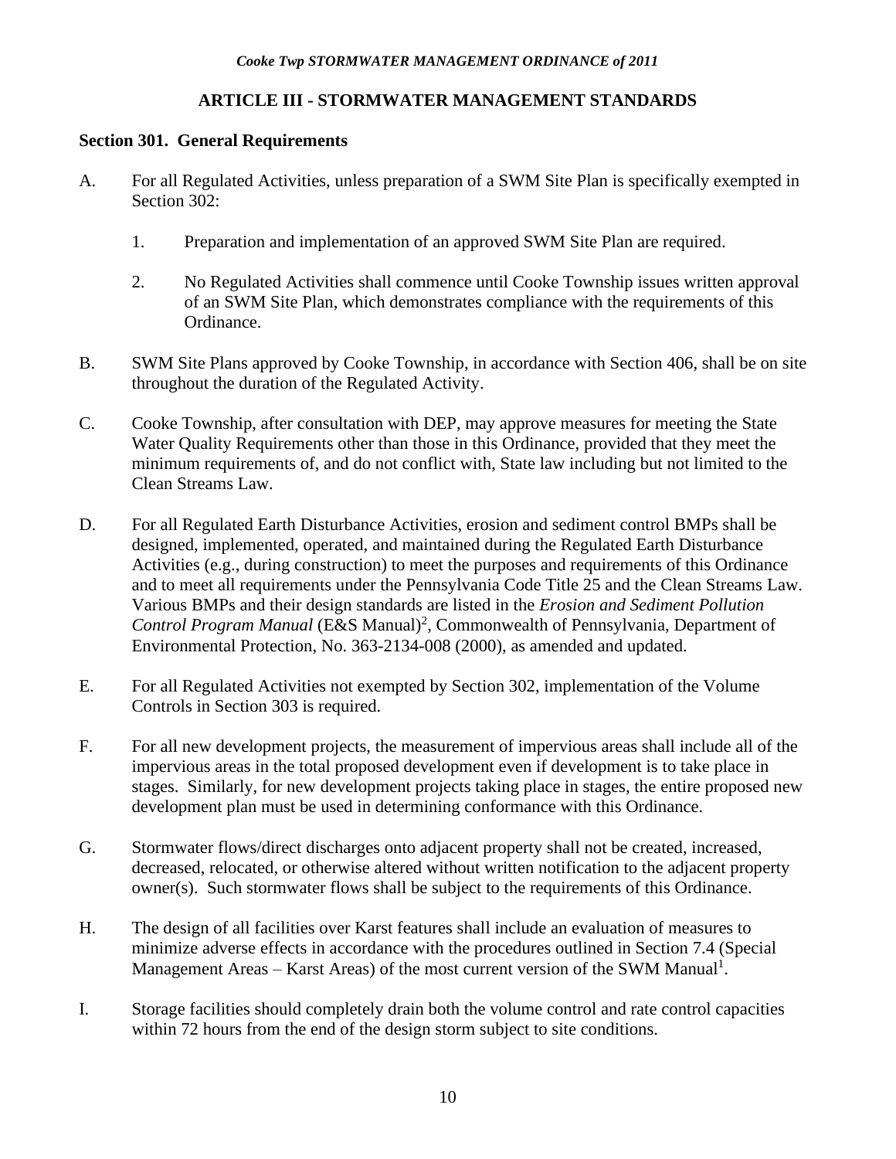# **ARTICLE III - STORMWATER MANAGEMENT STANDARDS**

### <span id="page-12-0"></span>**Section 301. General Requirements**

- A. For all Regulated Activities, unless preparation of a SWM Site Plan is specifically exempted in Section 302:
	- 1. Preparation and implementation of an approved SWM Site Plan are required.
	- 2. No Regulated Activities shall commence until Cooke Township issues written approval of an SWM Site Plan, which demonstrates compliance with the requirements of this Ordinance.
- B. SWM Site Plans approved by Cooke Township, in accordance with Section 406, shall be on site throughout the duration of the Regulated Activity.
- C. Cooke Township, after consultation with DEP, may approve measures for meeting the State Water Quality Requirements other than those in this Ordinance, provided that they meet the minimum requirements of, and do not conflict with, State law including but not limited to the Clean Streams Law.
- D. For all Regulated Earth Disturbance Activities, erosion and sediment control BMPs shall be designed, implemented, operated, and maintained during the Regulated Earth Disturbance Activities (e.g., during construction) to meet the purposes and requirements of this Ordinance and to meet all requirements under the Pennsylvania Code Title 25 and the Clean Streams Law. Various BMPs and their design standards are listed in the *Erosion and Sediment Pollution*  Control Program Manual (E&S Manual)<sup>2</sup>, Commonwealth of Pennsylvania, Department of Environmental Protection, No. 363-2134-008 (2000), as amended and updated.
- E. For all Regulated Activities not exempted by Section 302, implementation of the Volume Controls in Section 303 is required.
- F. For all new development projects, the measurement of impervious areas shall include all of the impervious areas in the total proposed development even if development is to take place in stages. Similarly, for new development projects taking place in stages, the entire proposed new development plan must be used in determining conformance with this Ordinance.
- G. Stormwater flows/direct discharges onto adjacent property shall not be created, increased, decreased, relocated, or otherwise altered without written notification to the adjacent property owner(s). Such stormwater flows shall be subject to the requirements of this Ordinance.
- H. The design of all facilities over Karst features shall include an evaluation of measures to minimize adverse effects in accordance with the procedures outlined in Section 7.4 (Special Management Areas – Karst Areas) of the most current version of the SWM Manual<sup>1</sup>.
- I. Storage facilities should completely drain both the volume control and rate control capacities within 72 hours from the end of the design storm subject to site conditions.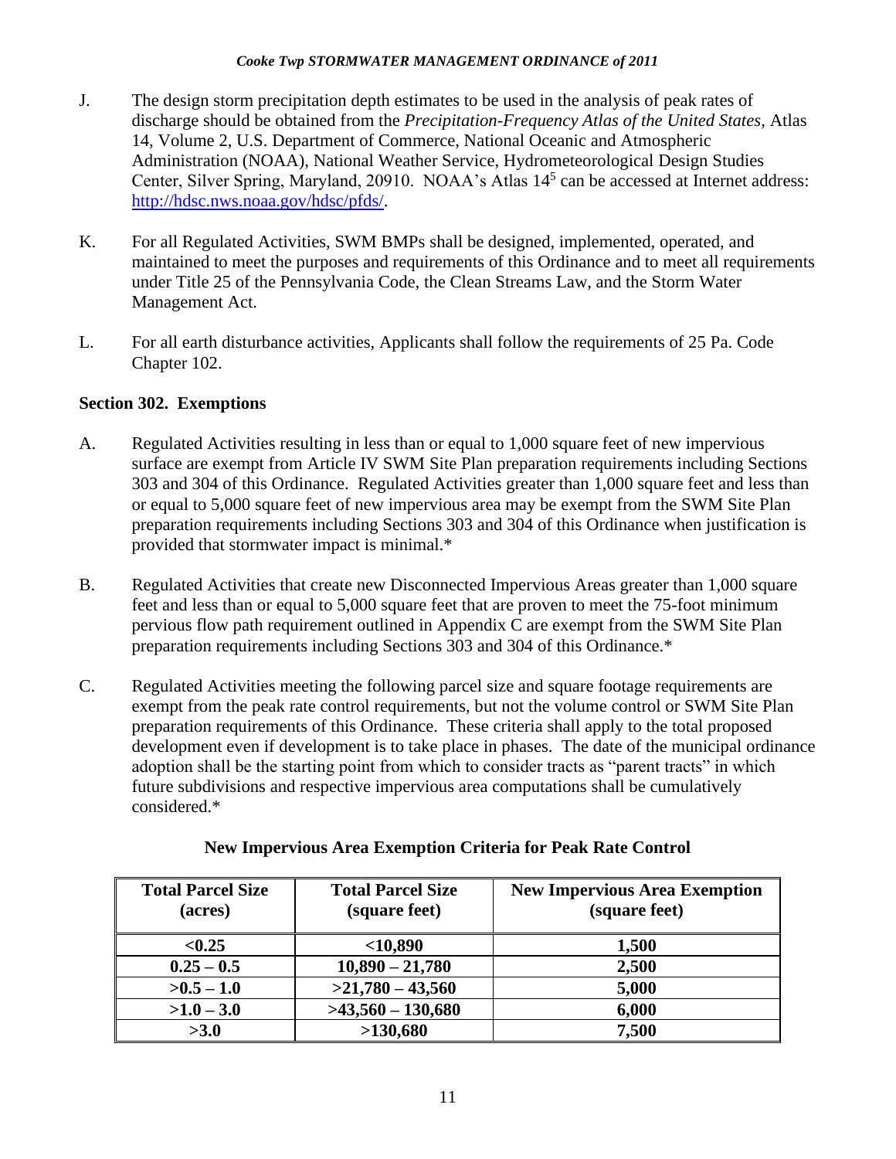- J. The design storm precipitation depth estimates to be used in the analysis of peak rates of discharge should be obtained from the *Precipitation-Frequency Atlas of the United States*, Atlas 14, Volume 2, U.S. Department of Commerce, National Oceanic and Atmospheric Administration (NOAA), National Weather Service, Hydrometeorological Design Studies Center, Silver Spring, Maryland, 20910. NOAA's Atlas  $14<sup>5</sup>$  can be accessed at Internet address: [http://hdsc.nws.noaa.gov/hdsc/pfds/.](http://hdsc.nws.noaa.gov/hdsc/pfds/)
- K. For all Regulated Activities, SWM BMPs shall be designed, implemented, operated, and maintained to meet the purposes and requirements of this Ordinance and to meet all requirements under Title 25 of the Pennsylvania Code, the Clean Streams Law, and the Storm Water Management Act.
- L. For all earth disturbance activities, Applicants shall follow the requirements of 25 Pa. Code Chapter 102.

# **Section 302. Exemptions**

- A. Regulated Activities resulting in less than or equal to 1,000 square feet of new impervious surface are exempt from Article IV SWM Site Plan preparation requirements including Sections 303 and 304 of this Ordinance. Regulated Activities greater than 1,000 square feet and less than or equal to 5,000 square feet of new impervious area may be exempt from the SWM Site Plan preparation requirements including Sections 303 and 304 of this Ordinance when justification is provided that stormwater impact is minimal.\*
- B. Regulated Activities that create new Disconnected Impervious Areas greater than 1,000 square feet and less than or equal to 5,000 square feet that are proven to meet the 75-foot minimum pervious flow path requirement outlined in Appendix C are exempt from the SWM Site Plan preparation requirements including Sections 303 and 304 of this Ordinance.\*
- C. Regulated Activities meeting the following parcel size and square footage requirements are exempt from the peak rate control requirements, but not the volume control or SWM Site Plan preparation requirements of this Ordinance. These criteria shall apply to the total proposed development even if development is to take place in phases. The date of the municipal ordinance adoption shall be the starting point from which to consider tracts as "parent tracts" in which future subdivisions and respective impervious area computations shall be cumulatively considered.\*

| <b>Total Parcel Size</b><br>(acres) | <b>Total Parcel Size</b><br>(square feet) | <b>New Impervious Area Exemption</b><br>(square feet) |
|-------------------------------------|-------------------------------------------|-------------------------------------------------------|
| < 0.25                              | $<$ 10,890                                | 1,500                                                 |
| $0.25 - 0.5$                        | $10,890 - 21,780$                         | 2,500                                                 |
| $>0.5-1.0$                          | $>21,780-43,560$                          | 5,000                                                 |
| $>1.0-3.0$                          | $>43,560-130,680$                         | 6,000                                                 |
| >3.0                                | >130,680                                  | 7,500                                                 |

| <b>New Impervious Area Exemption Criteria for Peak Rate Control</b> |  |  |
|---------------------------------------------------------------------|--|--|
|                                                                     |  |  |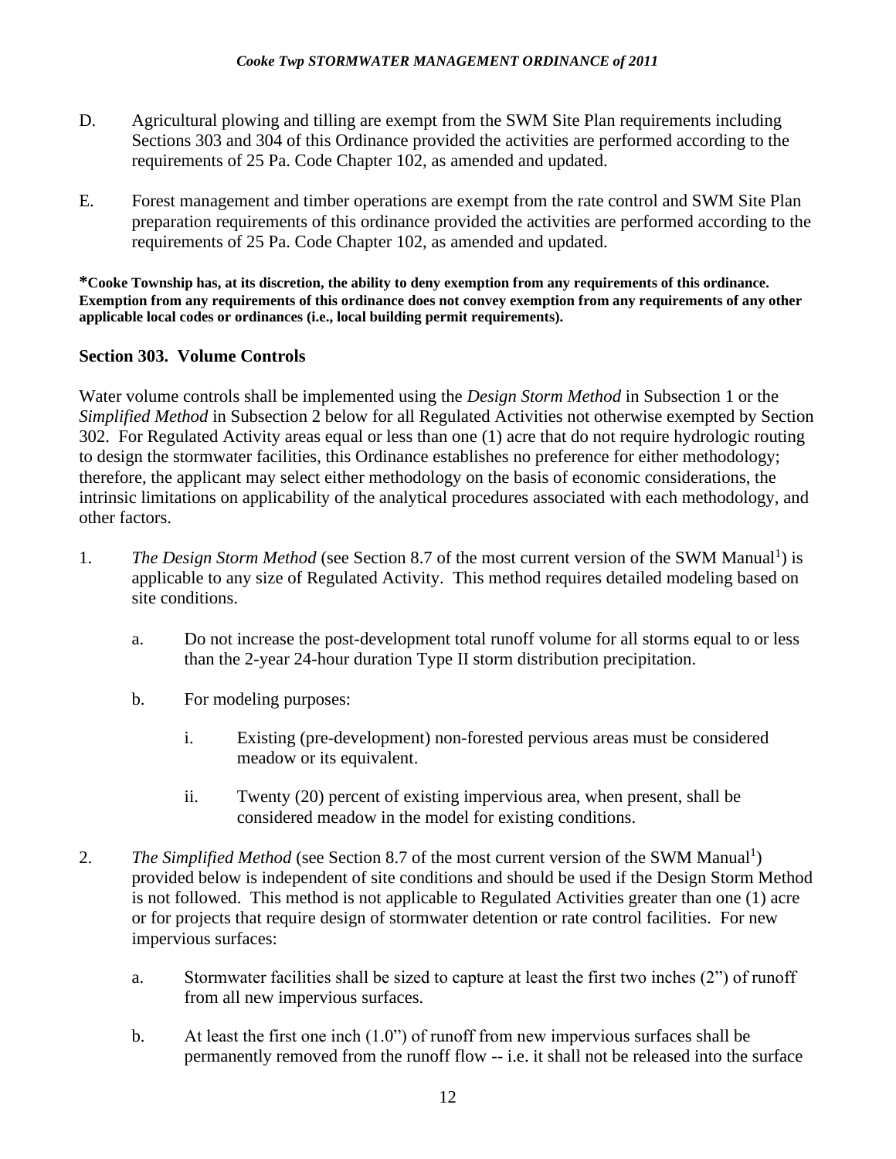- D. Agricultural plowing and tilling are exempt from the SWM Site Plan requirements including Sections 303 and 304 of this Ordinance provided the activities are performed according to the requirements of 25 Pa. Code Chapter 102, as amended and updated.
- E. Forest management and timber operations are exempt from the rate control and SWM Site Plan preparation requirements of this ordinance provided the activities are performed according to the requirements of 25 Pa. Code Chapter 102, as amended and updated.

**\*Cooke Township has, at its discretion, the ability to deny exemption from any requirements of this ordinance. Exemption from any requirements of this ordinance does not convey exemption from any requirements of any other applicable local codes or ordinances (i.e., local building permit requirements).** 

### **Section 303. Volume Controls**

Water volume controls shall be implemented using the *Design Storm Method* in Subsection 1 or the *Simplified Method* in Subsection 2 below for all Regulated Activities not otherwise exempted by Section 302. For Regulated Activity areas equal or less than one (1) acre that do not require hydrologic routing to design the stormwater facilities, this Ordinance establishes no preference for either methodology; therefore, the applicant may select either methodology on the basis of economic considerations, the intrinsic limitations on applicability of the analytical procedures associated with each methodology, and other factors.

- 1. The Design Storm Method (see Section 8.7 of the most current version of the SWM Manual<sup>1</sup>) is applicable to any size of Regulated Activity. This method requires detailed modeling based on site conditions.
	- a. Do not increase the post-development total runoff volume for all storms equal to or less than the 2-year 24-hour duration Type II storm distribution precipitation.
	- b. For modeling purposes:
		- i. Existing (pre-development) non-forested pervious areas must be considered meadow or its equivalent.
		- ii. Twenty (20) percent of existing impervious area, when present, shall be considered meadow in the model for existing conditions.
- 2. The Simplified Method (see Section 8.7 of the most current version of the SWM Manual<sup>1</sup>) provided below is independent of site conditions and should be used if the Design Storm Method is not followed. This method is not applicable to Regulated Activities greater than one (1) acre or for projects that require design of stormwater detention or rate control facilities. For new impervious surfaces:
	- a. Stormwater facilities shall be sized to capture at least the first two inches (2") of runoff from all new impervious surfaces.
	- b. At least the first one inch (1.0") of runoff from new impervious surfaces shall be permanently removed from the runoff flow -- i.e. it shall not be released into the surface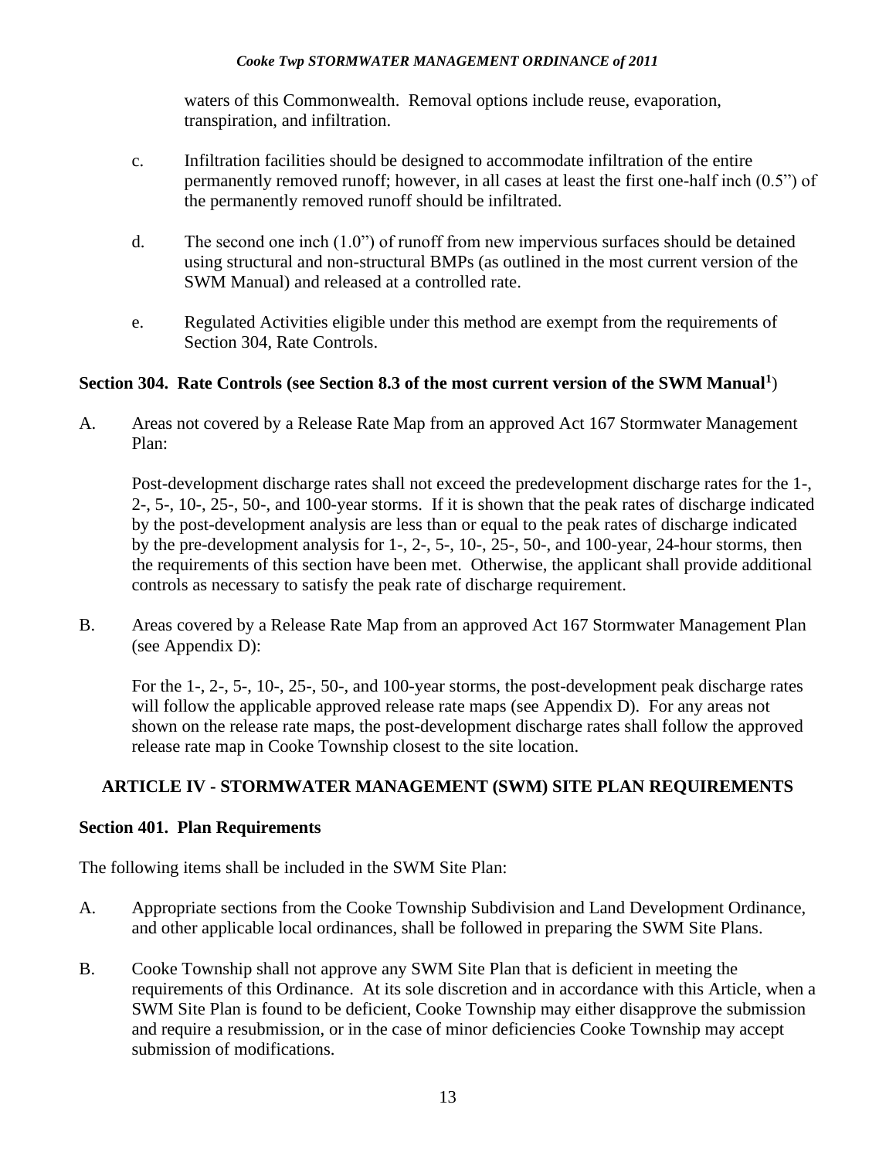waters of this Commonwealth. Removal options include reuse, evaporation, transpiration, and infiltration.

- c. Infiltration facilities should be designed to accommodate infiltration of the entire permanently removed runoff; however, in all cases at least the first one-half inch (0.5") of the permanently removed runoff should be infiltrated.
- d. The second one inch (1.0") of runoff from new impervious surfaces should be detained using structural and non-structural BMPs (as outlined in the most current version of the SWM Manual) and released at a controlled rate.
- e. Regulated Activities eligible under this method are exempt from the requirements of Section 304, Rate Controls.

# **Section 304. Rate Controls (see Section 8.3 of the most current version of the SWM Manual<sup>1</sup>** )

A. Areas not covered by a Release Rate Map from an approved Act 167 Stormwater Management Plan:

Post-development discharge rates shall not exceed the predevelopment discharge rates for the 1-, 2-, 5-, 10-, 25-, 50-, and 100-year storms. If it is shown that the peak rates of discharge indicated by the post-development analysis are less than or equal to the peak rates of discharge indicated by the pre-development analysis for 1-, 2-, 5-, 10-, 25-, 50-, and 100-year, 24-hour storms, then the requirements of this section have been met. Otherwise, the applicant shall provide additional controls as necessary to satisfy the peak rate of discharge requirement.

B. Areas covered by a Release Rate Map from an approved Act 167 Stormwater Management Plan (see Appendix D):

For the 1-, 2-, 5-, 10-, 25-, 50-, and 100-year storms, the post-development peak discharge rates will follow the applicable approved release rate maps (see Appendix D). For any areas not shown on the release rate maps, the post-development discharge rates shall follow the approved release rate map in Cooke Township closest to the site location.

# **ARTICLE IV - STORMWATER MANAGEMENT (SWM) SITE PLAN REQUIREMENTS**

### **Section 401. Plan Requirements**

The following items shall be included in the SWM Site Plan:

- A. Appropriate sections from the Cooke Township Subdivision and Land Development Ordinance, and other applicable local ordinances, shall be followed in preparing the SWM Site Plans.
- B. Cooke Township shall not approve any SWM Site Plan that is deficient in meeting the requirements of this Ordinance. At its sole discretion and in accordance with this Article, when a SWM Site Plan is found to be deficient, Cooke Township may either disapprove the submission and require a resubmission, or in the case of minor deficiencies Cooke Township may accept submission of modifications.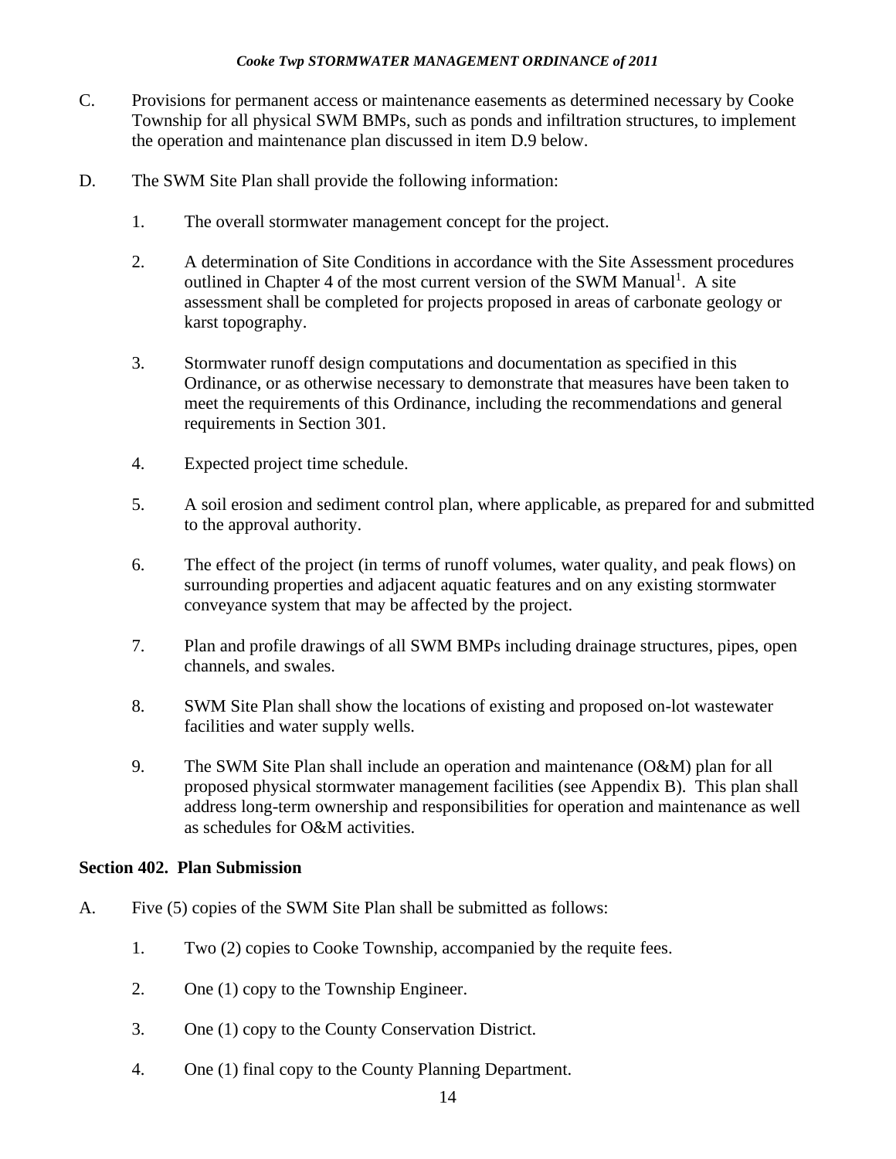- C. Provisions for permanent access or maintenance easements as determined necessary by Cooke Township for all physical SWM BMPs, such as ponds and infiltration structures, to implement the operation and maintenance plan discussed in item D.9 below.
- D. The SWM Site Plan shall provide the following information:
	- 1. The overall stormwater management concept for the project.
	- 2. A determination of Site Conditions in accordance with the Site Assessment procedures outlined in Chapter 4 of the most current version of the SWM Manual<sup>1</sup>. A site assessment shall be completed for projects proposed in areas of carbonate geology or karst topography.
	- 3. Stormwater runoff design computations and documentation as specified in this Ordinance, or as otherwise necessary to demonstrate that measures have been taken to meet the requirements of this Ordinance, including the recommendations and general requirements in Section [301.](#page-12-0)
	- 4. Expected project time schedule.
	- 5. A soil erosion and sediment control plan, where applicable, as prepared for and submitted to the approval authority.
	- 6. The effect of the project (in terms of runoff volumes, water quality, and peak flows) on surrounding properties and adjacent aquatic features and on any existing stormwater conveyance system that may be affected by the project.
	- 7. Plan and profile drawings of all SWM BMPs including drainage structures, pipes, open channels, and swales.
	- 8. SWM Site Plan shall show the locations of existing and proposed on-lot wastewater facilities and water supply wells.
	- 9. The SWM Site Plan shall include an operation and maintenance (O&M) plan for all proposed physical stormwater management facilities (see Appendix B). This plan shall address long-term ownership and responsibilities for operation and maintenance as well as schedules for O&M activities.

# **Section 402. Plan Submission**

- A. Five (5) copies of the SWM Site Plan shall be submitted as follows:
	- 1. Two (2) copies to Cooke Township, accompanied by the requite fees.
	- 2. One (1) copy to the Township Engineer.
	- 3. One (1) copy to the County Conservation District.
	- 4. One (1) final copy to the County Planning Department.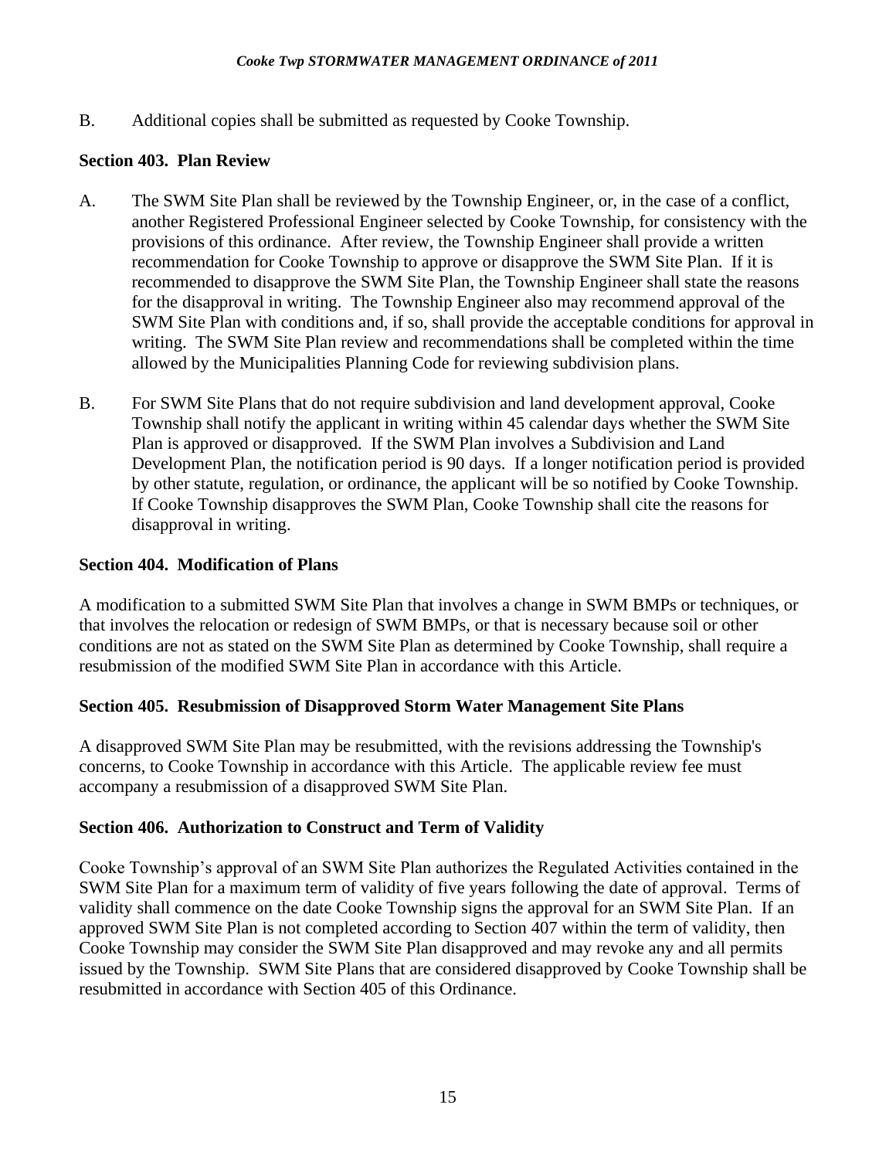B. Additional copies shall be submitted as requested by Cooke Township.

### **Section 403. Plan Review**

- A. The SWM Site Plan shall be reviewed by the Township Engineer, or, in the case of a conflict, another Registered Professional Engineer selected by Cooke Township, for consistency with the provisions of this ordinance. After review, the Township Engineer shall provide a written recommendation for Cooke Township to approve or disapprove the SWM Site Plan. If it is recommended to disapprove the SWM Site Plan, the Township Engineer shall state the reasons for the disapproval in writing. The Township Engineer also may recommend approval of the SWM Site Plan with conditions and, if so, shall provide the acceptable conditions for approval in writing. The SWM Site Plan review and recommendations shall be completed within the time allowed by the Municipalities Planning Code for reviewing subdivision plans.
- B. For SWM Site Plans that do not require subdivision and land development approval, Cooke Township shall notify the applicant in writing within 45 calendar days whether the SWM Site Plan is approved or disapproved. If the SWM Plan involves a Subdivision and Land Development Plan, the notification period is 90 days. If a longer notification period is provided by other statute, regulation, or ordinance, the applicant will be so notified by Cooke Township. If Cooke Township disapproves the SWM Plan, Cooke Township shall cite the reasons for disapproval in writing.

### **Section 404. Modification of Plans**

A modification to a submitted SWM Site Plan that involves a change in SWM BMPs or techniques, or that involves the relocation or redesign of SWM BMPs, or that is necessary because soil or other conditions are not as stated on the SWM Site Plan as determined by Cooke Township, shall require a resubmission of the modified SWM Site Plan in accordance with this Article.

### **Section 405. Resubmission of Disapproved Storm Water Management Site Plans**

A disapproved SWM Site Plan may be resubmitted, with the revisions addressing the Township's concerns, to Cooke Township in accordance with this Article. The applicable review fee must accompany a resubmission of a disapproved SWM Site Plan.

### **Section 406. Authorization to Construct and Term of Validity**

Cooke Township's approval of an SWM Site Plan authorizes the Regulated Activities contained in the SWM Site Plan for a maximum term of validity of five years following the date of approval. Terms of validity shall commence on the date Cooke Township signs the approval for an SWM Site Plan. If an approved SWM Site Plan is not completed according to Section 407 within the term of validity, then Cooke Township may consider the SWM Site Plan disapproved and may revoke any and all permits issued by the Township. SWM Site Plans that are considered disapproved by Cooke Township shall be resubmitted in accordance with Section 405 of this Ordinance.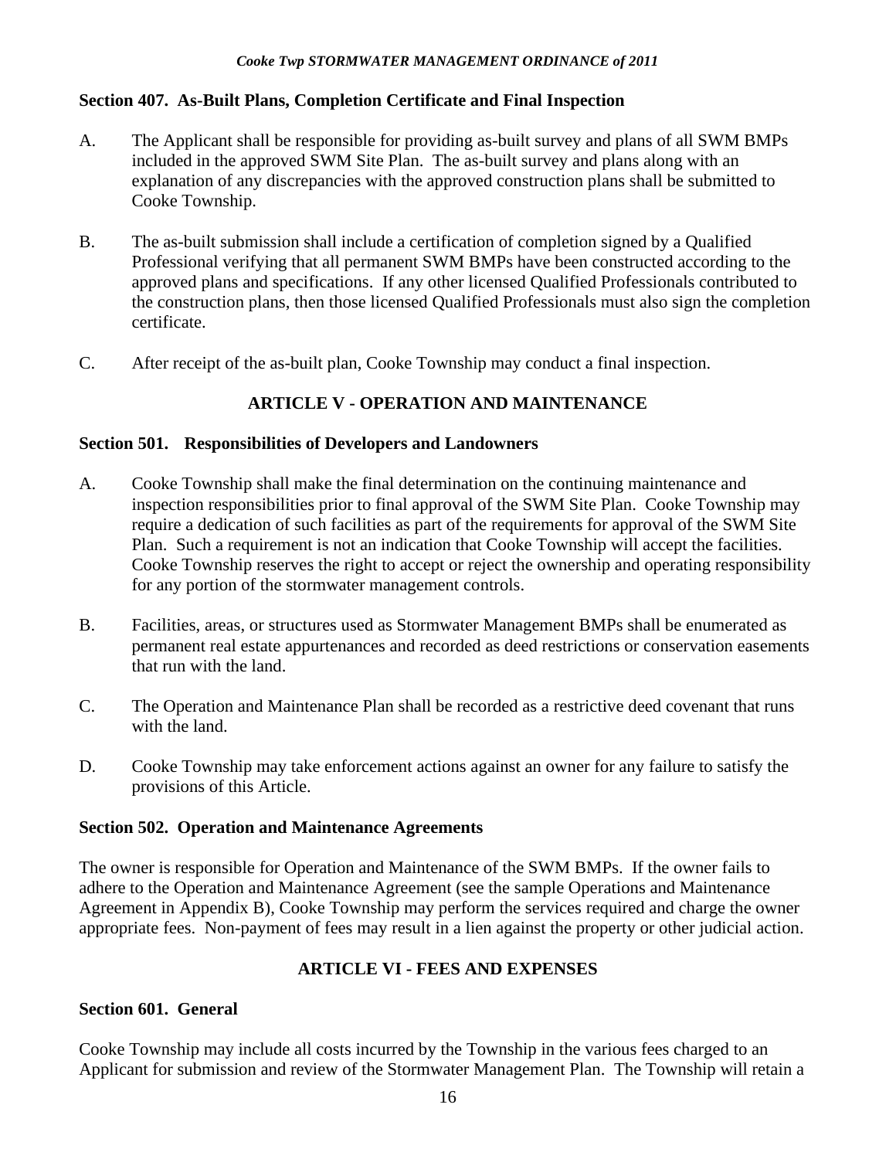### **Section 407. As-Built Plans, Completion Certificate and Final Inspection**

- A. The Applicant shall be responsible for providing as-built survey and plans of all SWM BMPs included in the approved SWM Site Plan. The as-built survey and plans along with an explanation of any discrepancies with the approved construction plans shall be submitted to Cooke Township.
- B. The as-built submission shall include a certification of completion signed by a Qualified Professional verifying that all permanent SWM BMPs have been constructed according to the approved plans and specifications. If any other licensed Qualified Professionals contributed to the construction plans, then those licensed Qualified Professionals must also sign the completion certificate.
- C. After receipt of the as-built plan, Cooke Township may conduct a final inspection.

# **ARTICLE V - OPERATION AND MAINTENANCE**

### **Section 501. Responsibilities of Developers and Landowners**

- A. Cooke Township shall make the final determination on the continuing maintenance and inspection responsibilities prior to final approval of the SWM Site Plan. Cooke Township may require a dedication of such facilities as part of the requirements for approval of the SWM Site Plan. Such a requirement is not an indication that Cooke Township will accept the facilities. Cooke Township reserves the right to accept or reject the ownership and operating responsibility for any portion of the stormwater management controls.
- B. Facilities, areas, or structures used as Stormwater Management BMPs shall be enumerated as permanent real estate appurtenances and recorded as deed restrictions or conservation easements that run with the land.
- C. The Operation and Maintenance Plan shall be recorded as a restrictive deed covenant that runs with the land.
- D. Cooke Township may take enforcement actions against an owner for any failure to satisfy the provisions of this Article.

### **Section 502. Operation and Maintenance Agreements**

The owner is responsible for Operation and Maintenance of the SWM BMPs. If the owner fails to adhere to the Operation and Maintenance Agreement (see the sample Operations and Maintenance Agreement in Appendix B), Cooke Township may perform the services required and charge the owner appropriate fees. Non-payment of fees may result in a lien against the property or other judicial action.

# **ARTICLE VI - FEES AND EXPENSES**

### **Section 601. General**

Cooke Township may include all costs incurred by the Township in the various fees charged to an Applicant for submission and review of the Stormwater Management Plan. The Township will retain a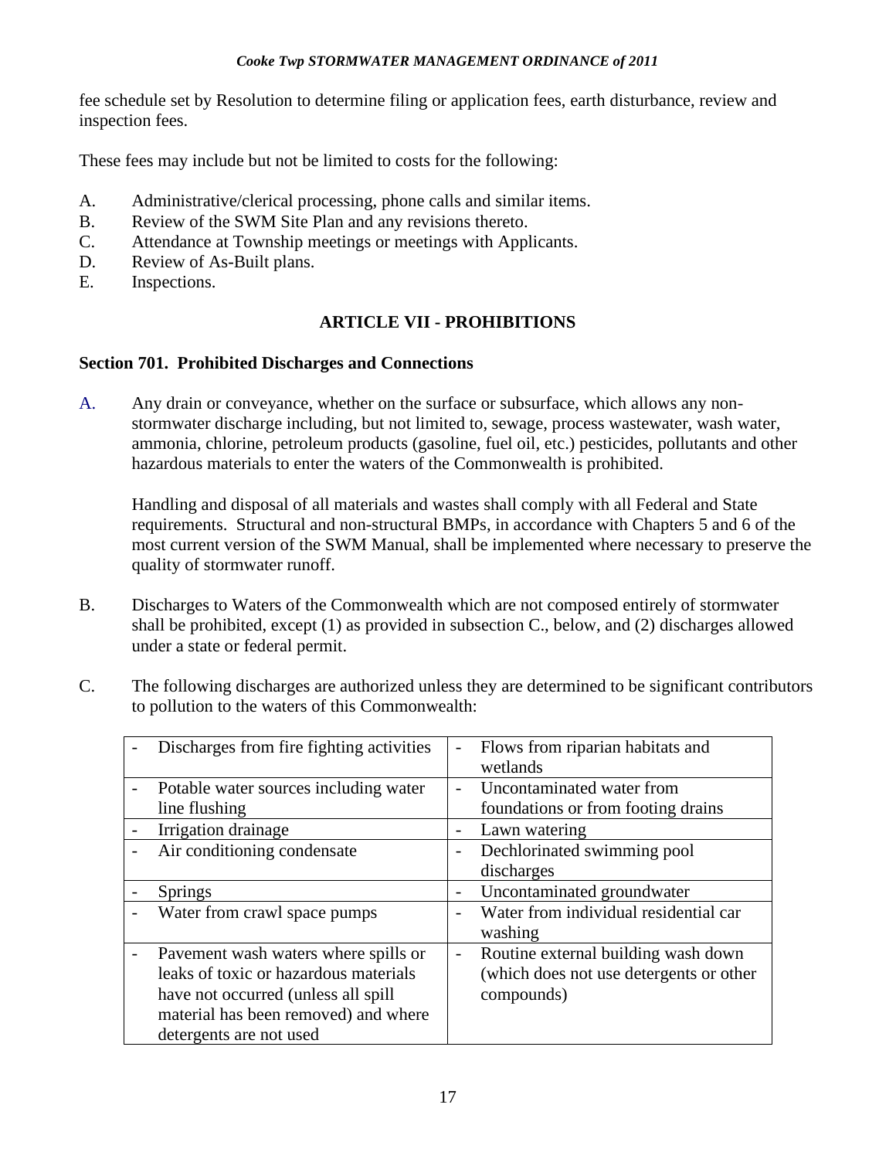fee schedule set by Resolution to determine filing or application fees, earth disturbance, review and inspection fees.

These fees may include but not be limited to costs for the following:

- A. Administrative/clerical processing, phone calls and similar items.
- B. Review of the SWM Site Plan and any revisions thereto.
- C. Attendance at Township meetings or meetings with Applicants.
- D. Review of As-Built plans.
- E. Inspections.

# **ARTICLE VII - PROHIBITIONS**

# **Section 701. Prohibited Discharges and Connections**

A. Any drain or conveyance, whether on the surface or subsurface, which allows any nonstormwater discharge including, but not limited to, sewage, process wastewater, wash water, ammonia, chlorine, petroleum products (gasoline, fuel oil, etc.) pesticides, pollutants and other hazardous materials to enter the waters of the Commonwealth is prohibited.

Handling and disposal of all materials and wastes shall comply with all Federal and State requirements. Structural and non-structural BMPs, in accordance with Chapters 5 and 6 of the most current version of the SWM Manual, shall be implemented where necessary to preserve the quality of stormwater runoff.

- B. Discharges to Waters of the Commonwealth which are not composed entirely of stormwater shall be prohibited, except (1) as provided in subsection C., below, and (2) discharges allowed under a state or federal permit.
- C. The following discharges are authorized unless they are determined to be significant contributors to pollution to the waters of this Commonwealth:

| Discharges from fire fighting activities | $\overline{\phantom{0}}$ | Flows from riparian habitats and<br>wetlands |
|------------------------------------------|--------------------------|----------------------------------------------|
| Potable water sources including water    | $\overline{a}$           | Uncontaminated water from                    |
| line flushing                            |                          | foundations or from footing drains           |
| Irrigation drainage                      | $\overline{\phantom{a}}$ | Lawn watering                                |
| Air conditioning condensate              |                          | Dechlorinated swimming pool                  |
|                                          |                          | discharges                                   |
| <b>Springs</b>                           |                          | Uncontaminated groundwater                   |
| Water from crawl space pumps             |                          | Water from individual residential car        |
|                                          |                          | washing                                      |
| Pavement wash waters where spills or     | $\overline{\phantom{0}}$ | Routine external building wash down          |
| leaks of toxic or hazardous materials    |                          | (which does not use detergents or other      |
| have not occurred (unless all spill      |                          | compounds)                                   |
| material has been removed) and where     |                          |                                              |
| detergents are not used                  |                          |                                              |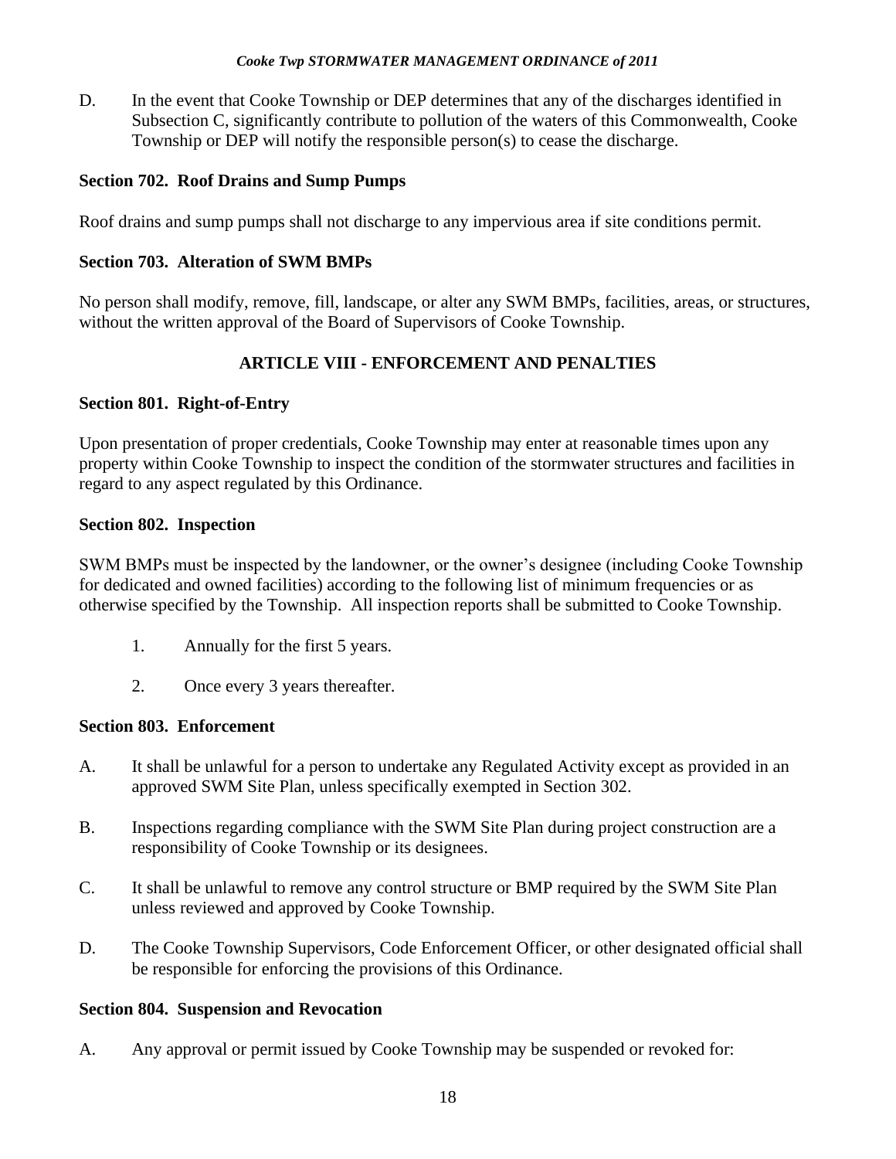D. In the event that Cooke Township or DEP determines that any of the discharges identified in Subsection C, significantly contribute to pollution of the waters of this Commonwealth, Cooke Township or DEP will notify the responsible person(s) to cease the discharge.

### **Section 702. Roof Drains and Sump Pumps**

Roof drains and sump pumps shall not discharge to any impervious area if site conditions permit.

### **Section 703. Alteration of SWM BMPs**

No person shall modify, remove, fill, landscape, or alter any SWM BMPs, facilities, areas, or structures, without the written approval of the Board of Supervisors of Cooke Township.

# **ARTICLE VIII - ENFORCEMENT AND PENALTIES**

### **Section 801. Right-of-Entry**

Upon presentation of proper credentials, Cooke Township may enter at reasonable times upon any property within Cooke Township to inspect the condition of the stormwater structures and facilities in regard to any aspect regulated by this Ordinance.

### **Section 802. Inspection**

SWM BMPs must be inspected by the landowner, or the owner's designee (including Cooke Township for dedicated and owned facilities) according to the following list of minimum frequencies or as otherwise specified by the Township. All inspection reports shall be submitted to Cooke Township.

- 1. Annually for the first 5 years.
- 2. Once every 3 years thereafter.

### **Section 803. Enforcement**

- A. It shall be unlawful for a person to undertake any Regulated Activity except as provided in an approved SWM Site Plan, unless specifically exempted in Section 302.
- B. Inspections regarding compliance with the SWM Site Plan during project construction are a responsibility of Cooke Township or its designees.
- C. It shall be unlawful to remove any control structure or BMP required by the SWM Site Plan unless reviewed and approved by Cooke Township.
- D. The Cooke Township Supervisors, Code Enforcement Officer, or other designated official shall be responsible for enforcing the provisions of this Ordinance.

# **Section 804. Suspension and Revocation**

A. Any approval or permit issued by Cooke Township may be suspended or revoked for: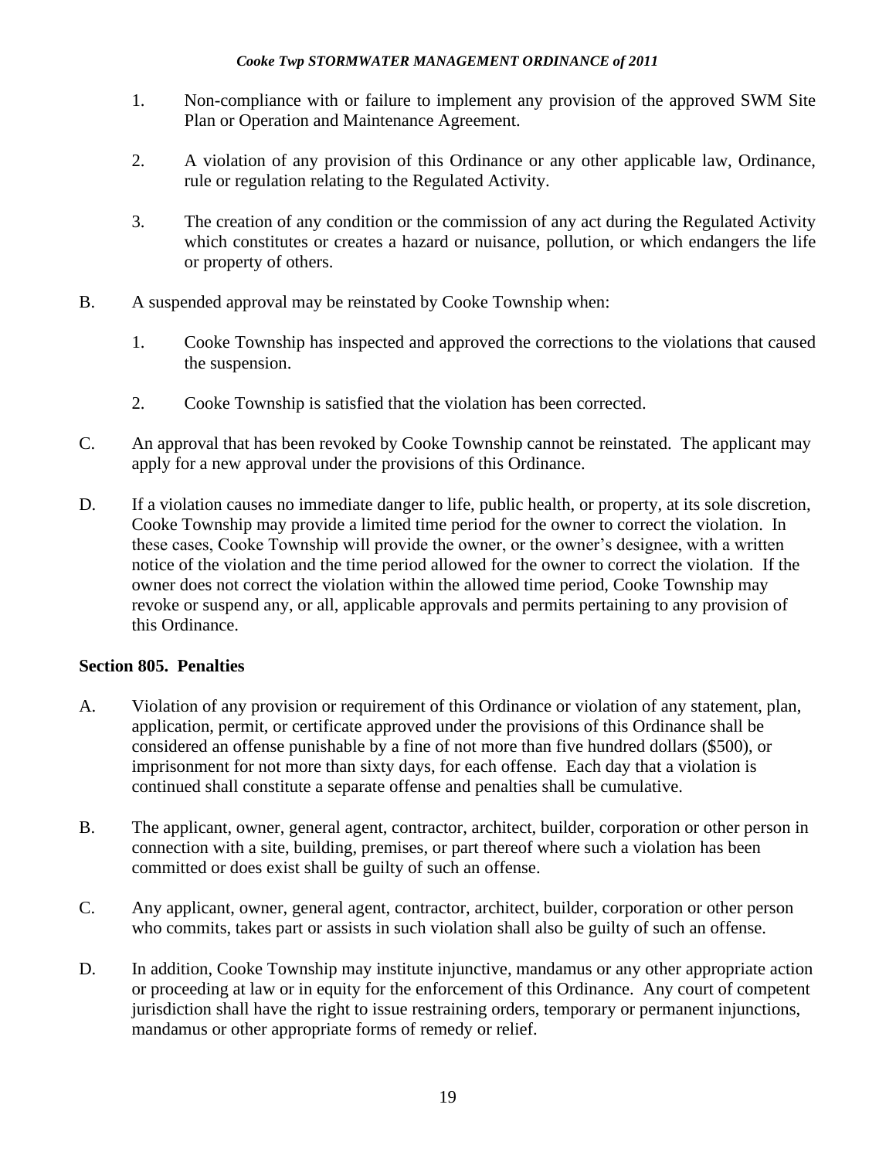- 1. Non-compliance with or failure to implement any provision of the approved SWM Site Plan or Operation and Maintenance Agreement.
- 2. A violation of any provision of this Ordinance or any other applicable law, Ordinance, rule or regulation relating to the Regulated Activity.
- 3. The creation of any condition or the commission of any act during the Regulated Activity which constitutes or creates a hazard or nuisance, pollution, or which endangers the life or property of others.
- B. A suspended approval may be reinstated by Cooke Township when:
	- 1. Cooke Township has inspected and approved the corrections to the violations that caused the suspension.
	- 2. Cooke Township is satisfied that the violation has been corrected.
- C. An approval that has been revoked by Cooke Township cannot be reinstated. The applicant may apply for a new approval under the provisions of this Ordinance.
- D. If a violation causes no immediate danger to life, public health, or property, at its sole discretion, Cooke Township may provide a limited time period for the owner to correct the violation. In these cases, Cooke Township will provide the owner, or the owner's designee, with a written notice of the violation and the time period allowed for the owner to correct the violation. If the owner does not correct the violation within the allowed time period, Cooke Township may revoke or suspend any, or all, applicable approvals and permits pertaining to any provision of this Ordinance.

# **Section 805. Penalties**

- A. Violation of any provision or requirement of this Ordinance or violation of any statement, plan, application, permit, or certificate approved under the provisions of this Ordinance shall be considered an offense punishable by a fine of not more than five hundred dollars (\$500), or imprisonment for not more than sixty days, for each offense. Each day that a violation is continued shall constitute a separate offense and penalties shall be cumulative.
- B. The applicant, owner, general agent, contractor, architect, builder, corporation or other person in connection with a site, building, premises, or part thereof where such a violation has been committed or does exist shall be guilty of such an offense.
- C. Any applicant, owner, general agent, contractor, architect, builder, corporation or other person who commits, takes part or assists in such violation shall also be guilty of such an offense.
- D. In addition, Cooke Township may institute injunctive, mandamus or any other appropriate action or proceeding at law or in equity for the enforcement of this Ordinance. Any court of competent jurisdiction shall have the right to issue restraining orders, temporary or permanent injunctions, mandamus or other appropriate forms of remedy or relief.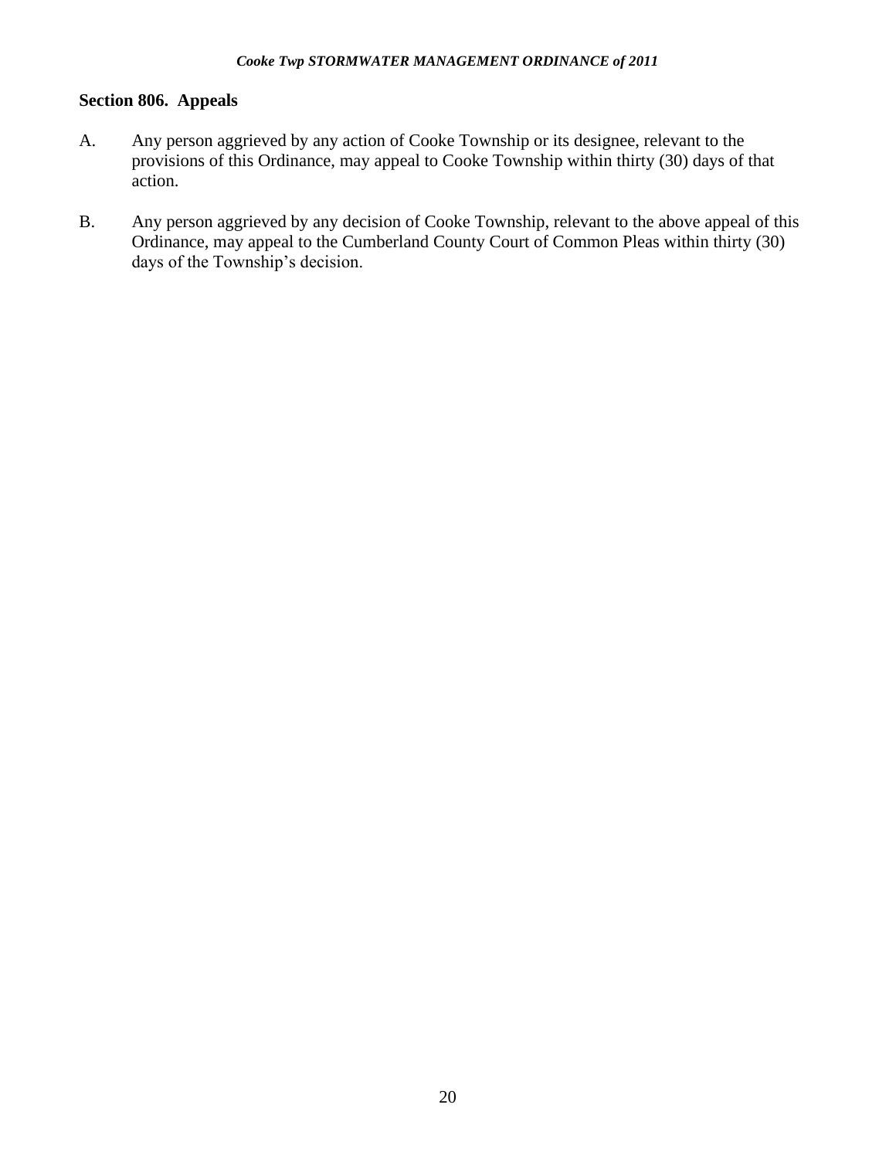# **Section 806. Appeals**

- A. Any person aggrieved by any action of Cooke Township or its designee, relevant to the provisions of this Ordinance, may appeal to Cooke Township within thirty (30) days of that action.
- B. Any person aggrieved by any decision of Cooke Township, relevant to the above appeal of this Ordinance, may appeal to the Cumberland County Court of Common Pleas within thirty (30) days of the Township's decision.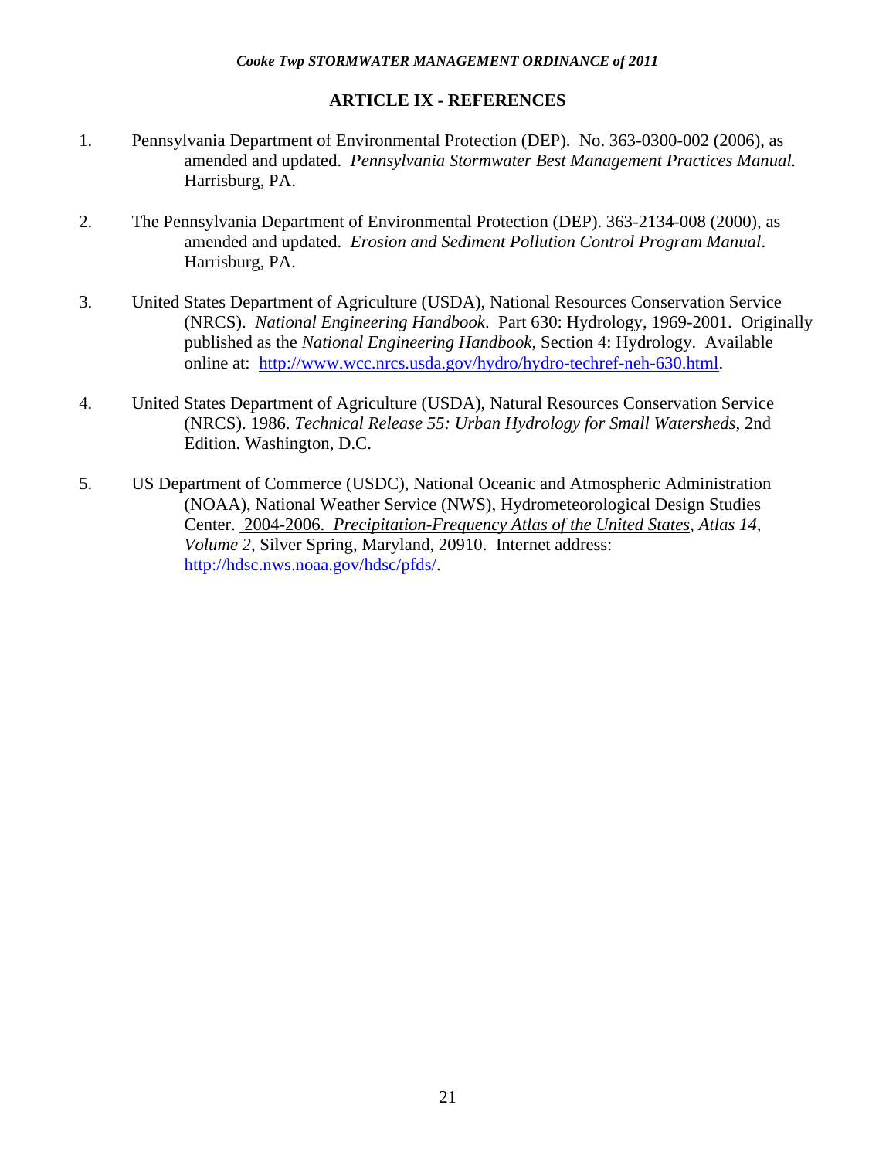### **ARTICLE IX - REFERENCES**

- 1. Pennsylvania Department of Environmental Protection (DEP). No. 363-0300-002 (2006), as amended and updated. *Pennsylvania Stormwater Best Management Practices Manual.* Harrisburg, PA.
- 2. The Pennsylvania Department of Environmental Protection (DEP). 363-2134-008 (2000), as amended and updated. *Erosion and Sediment Pollution Control Program Manual*. Harrisburg, PA.
- 3. United States Department of Agriculture (USDA), National Resources Conservation Service (NRCS). *National Engineering Handbook*. Part 630: Hydrology, 1969-2001. Originally published as the *National Engineering Handbook*, Section 4: Hydrology. Available online at: [http://www.wcc.nrcs.usda.gov/hydro/hydro-techref-neh-630.html.](http://www.wcc.nrcs.usda.gov/hydro/hydro-techref-neh-630.html)
- 4. United States Department of Agriculture (USDA), Natural Resources Conservation Service (NRCS). 1986. *Technical Release 55: Urban Hydrology for Small Watersheds*, 2nd Edition. Washington, D.C.
- 5. US Department of Commerce (USDC), National Oceanic and Atmospheric Administration (NOAA), National Weather Service (NWS), Hydrometeorological Design Studies Center. 2004-2006. *Precipitation-Frequency Atlas of the United States, Atlas 14, Volume 2*, Silver Spring, Maryland, 20910. Internet address: [http://hdsc.nws.noaa.gov/hdsc/pfds/.](http://hdsc.nws.noaa.gov/hdsc/pfds/)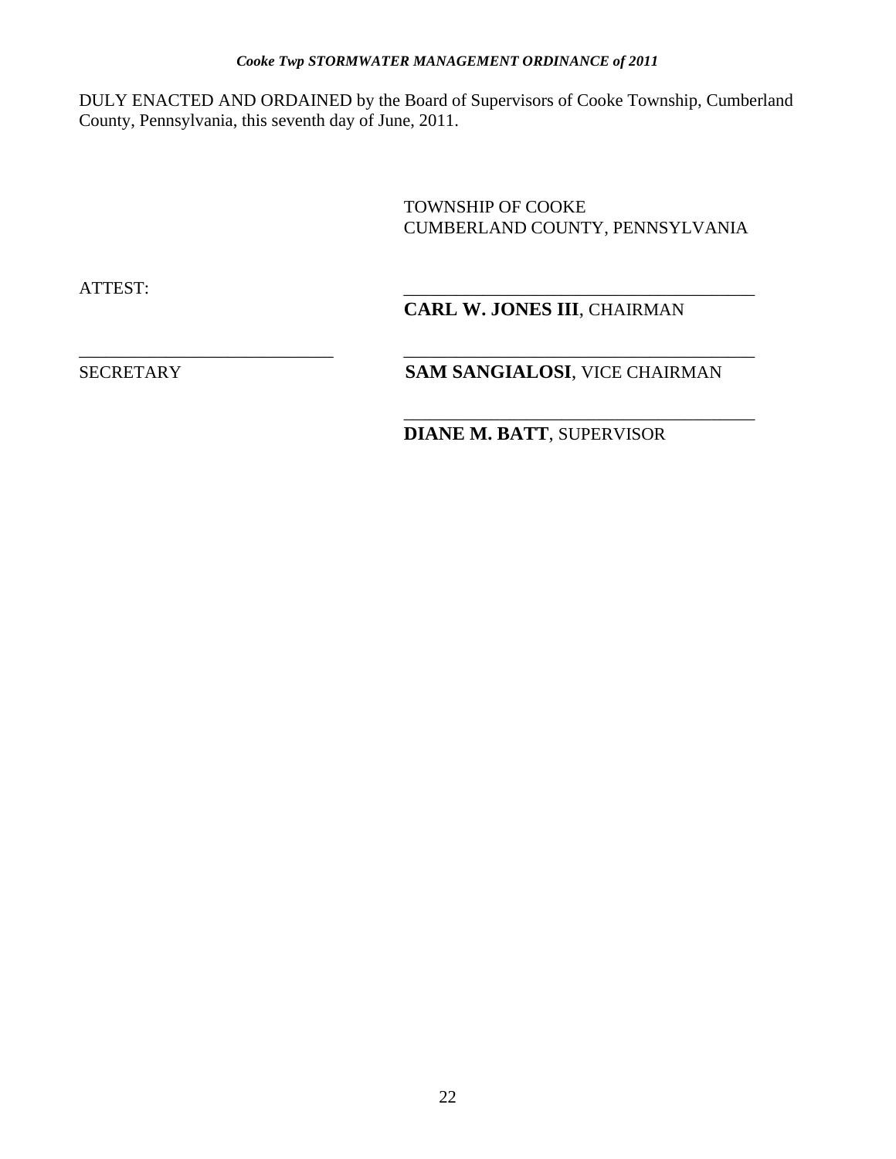DULY ENACTED AND ORDAINED by the Board of Supervisors of Cooke Township, Cumberland County, Pennsylvania, this seventh day of June, 2011.

\_\_\_\_\_\_\_\_\_\_\_\_\_\_\_\_\_\_\_\_\_\_\_\_\_\_\_\_\_ \_\_\_\_\_\_\_\_\_\_\_\_\_\_\_\_\_\_\_\_\_\_\_\_\_\_\_\_\_\_\_\_\_\_\_\_\_\_\_\_

 $\overline{\phantom{a}}$  , and the contract of the contract of the contract of the contract of the contract of the contract of the contract of the contract of the contract of the contract of the contract of the contract of the contrac

 TOWNSHIP OF COOKE CUMBERLAND COUNTY, PENNSYLVANIA

ATTEST: \_\_\_\_\_\_\_\_\_\_\_\_\_\_\_\_\_\_\_\_\_\_\_\_\_\_\_\_\_\_\_\_\_\_\_\_\_\_\_\_

# **CARL W. JONES III**, CHAIRMAN

# SECRETARY **SAM SANGIALOSI**, VICE CHAIRMAN

**DIANE M. BATT**, SUPERVISOR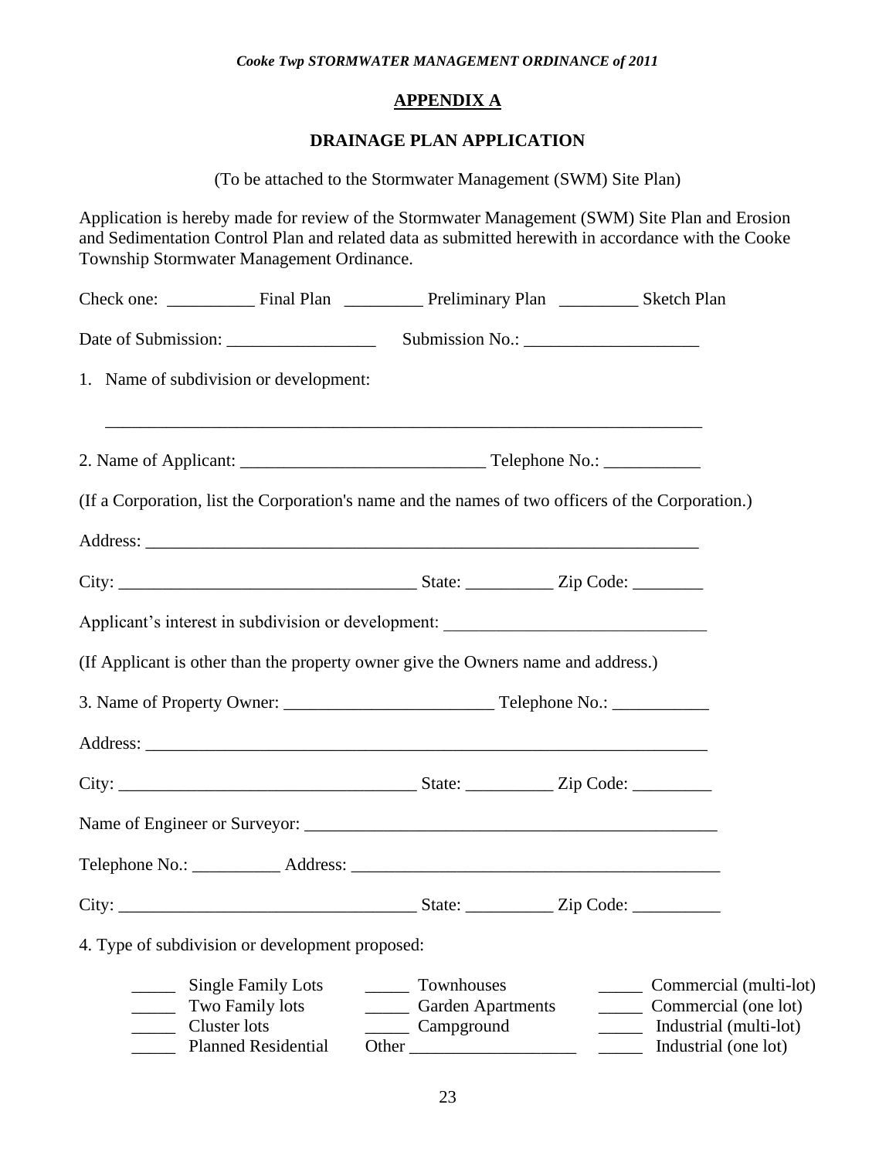# **APPENDIX A**

# **DRAINAGE PLAN APPLICATION**

(To be attached to the Stormwater Management (SWM) Site Plan)

Application is hereby made for review of the Stormwater Management (SWM) Site Plan and Erosion and Sedimentation Control Plan and related data as submitted herewith in accordance with the Cooke Township Stormwater Management Ordinance.

| 1. Name of subdivision or development:                                                            |                                                                                  |                                                                                                  |
|---------------------------------------------------------------------------------------------------|----------------------------------------------------------------------------------|--------------------------------------------------------------------------------------------------|
| ,我们也不能在这里的时候,我们也不能在这里的时候,我们也不能会在这里的时候,我们也不能会在这里的时候,我们也不能会在这里的时候,我们也不能会在这里的时候,我们也不                 |                                                                                  |                                                                                                  |
| (If a Corporation, list the Corporation's name and the names of two officers of the Corporation.) |                                                                                  |                                                                                                  |
|                                                                                                   |                                                                                  |                                                                                                  |
|                                                                                                   |                                                                                  |                                                                                                  |
| Applicant's interest in subdivision or development: _____________________________                 |                                                                                  |                                                                                                  |
| (If Applicant is other than the property owner give the Owners name and address.)                 |                                                                                  |                                                                                                  |
|                                                                                                   |                                                                                  |                                                                                                  |
|                                                                                                   |                                                                                  |                                                                                                  |
|                                                                                                   |                                                                                  |                                                                                                  |
|                                                                                                   |                                                                                  |                                                                                                  |
|                                                                                                   |                                                                                  |                                                                                                  |
|                                                                                                   |                                                                                  |                                                                                                  |
| 4. Type of subdivision or development proposed:                                                   |                                                                                  |                                                                                                  |
| <b>Single Family Lots</b><br>Two Family lots<br>Cluster lots<br><b>Planned Residential</b>        | Townhouses<br><b>Garden Apartments</b><br>$\overline{\phantom{a}}$<br>Campground | Commercial (multi-lot)<br>Commercial (one lot)<br>Industrial (multi-lot)<br>Industrial (one lot) |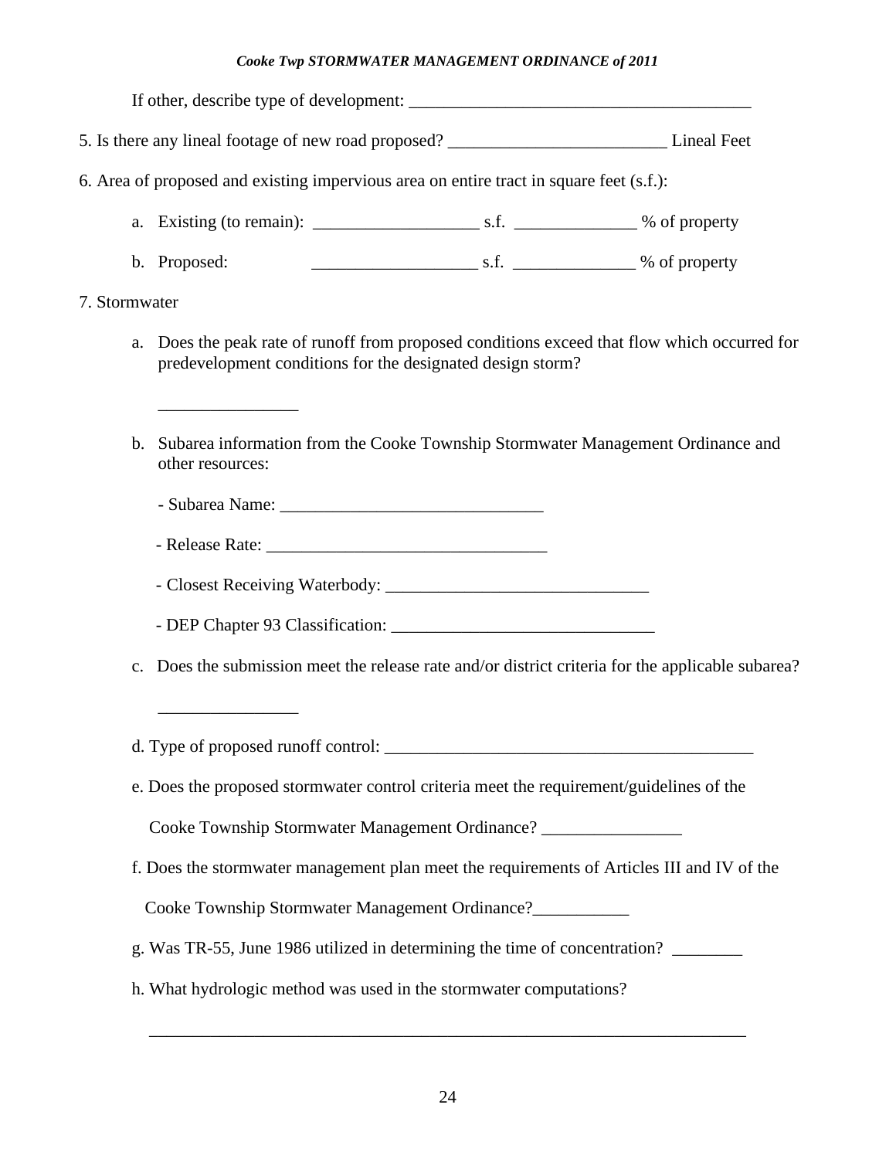|                | 6. Area of proposed and existing impervious area on entire tract in square feet (s.f.):             |                                                            |                                                                                                |
|----------------|-----------------------------------------------------------------------------------------------------|------------------------------------------------------------|------------------------------------------------------------------------------------------------|
|                |                                                                                                     |                                                            |                                                                                                |
|                | b. Proposed:                                                                                        |                                                            |                                                                                                |
| 7. Stormwater  |                                                                                                     |                                                            |                                                                                                |
| a.             |                                                                                                     | predevelopment conditions for the designated design storm? | Does the peak rate of runoff from proposed conditions exceed that flow which occurred for      |
| b.             | Subarea information from the Cooke Township Stormwater Management Ordinance and<br>other resources: |                                                            |                                                                                                |
|                |                                                                                                     |                                                            |                                                                                                |
|                |                                                                                                     |                                                            |                                                                                                |
|                |                                                                                                     |                                                            |                                                                                                |
|                |                                                                                                     |                                                            |                                                                                                |
| $\mathbf{c}$ . |                                                                                                     |                                                            | Does the submission meet the release rate and/or district criteria for the applicable subarea? |
|                |                                                                                                     |                                                            |                                                                                                |
|                | e. Does the proposed stormwater control criteria meet the requirement/guidelines of the             |                                                            |                                                                                                |
|                | Cooke Township Stormwater Management Ordinance? ________________                                    |                                                            |                                                                                                |
|                | f. Does the stormwater management plan meet the requirements of Articles III and IV of the          |                                                            |                                                                                                |
|                | Cooke Township Stormwater Management Ordinance?___________                                          |                                                            |                                                                                                |
|                | g. Was TR-55, June 1986 utilized in determining the time of concentration? ______                   |                                                            |                                                                                                |
|                | h. What hydrologic method was used in the stormwater computations?                                  |                                                            |                                                                                                |
|                |                                                                                                     |                                                            |                                                                                                |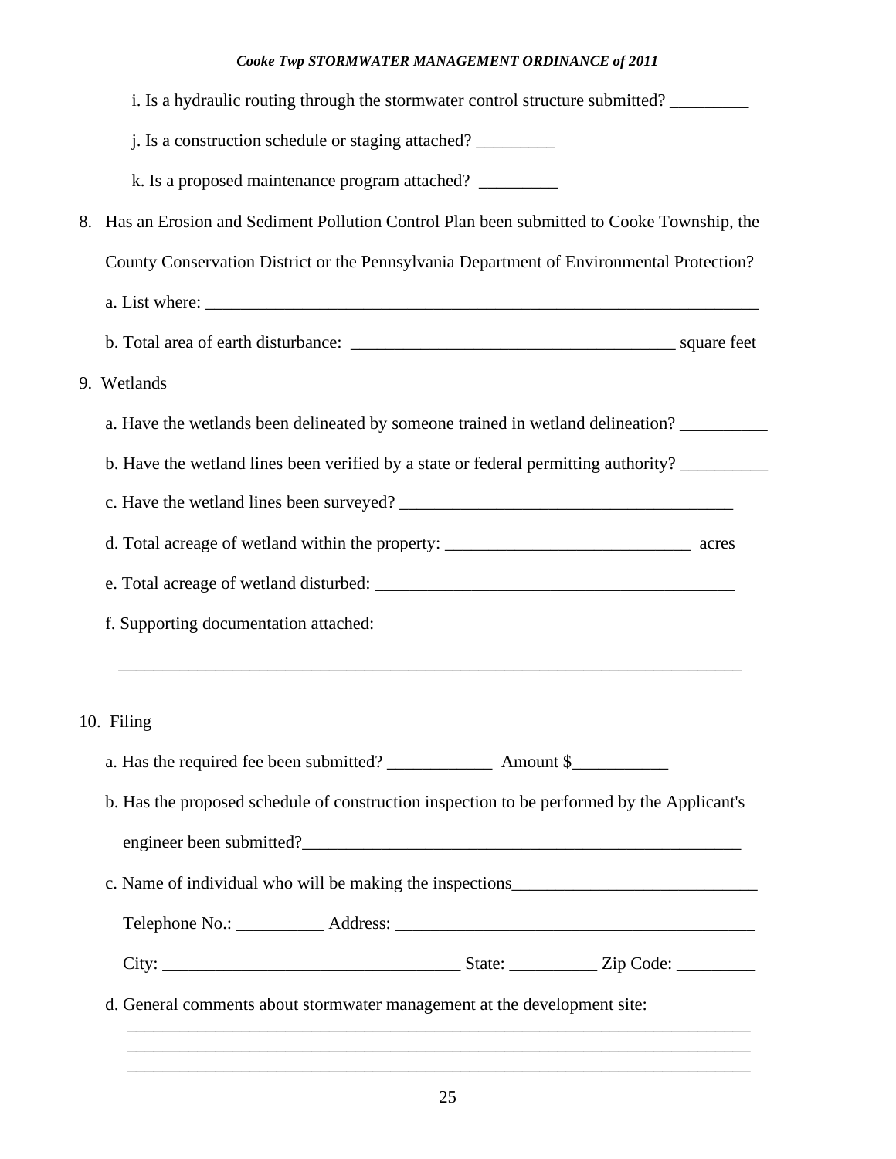| i. Is a hydraulic routing through the stormwater control structure submitted?               |
|---------------------------------------------------------------------------------------------|
| j. Is a construction schedule or staging attached?                                          |
| k. Is a proposed maintenance program attached?                                              |
| 8. Has an Erosion and Sediment Pollution Control Plan been submitted to Cooke Township, the |
| County Conservation District or the Pennsylvania Department of Environmental Protection?    |
|                                                                                             |
|                                                                                             |
| 9. Wetlands                                                                                 |
| a. Have the wetlands been delineated by someone trained in wetland delineation?             |
| b. Have the wetland lines been verified by a state or federal permitting authority?         |
|                                                                                             |
|                                                                                             |
|                                                                                             |
| f. Supporting documentation attached:                                                       |
|                                                                                             |
|                                                                                             |
|                                                                                             |
| 10. Filing                                                                                  |
|                                                                                             |
| b. Has the proposed schedule of construction inspection to be performed by the Applicant's  |
| engineer been submitted?                                                                    |
| c. Name of individual who will be making the inspections_________________________           |
|                                                                                             |

\_\_\_\_\_\_\_\_\_\_\_\_\_\_\_\_\_\_\_\_\_\_\_\_\_\_\_\_\_\_\_\_\_\_\_\_\_\_\_\_\_\_\_\_\_\_\_\_\_\_\_\_\_\_\_\_\_\_\_\_\_\_\_\_\_\_\_\_\_\_\_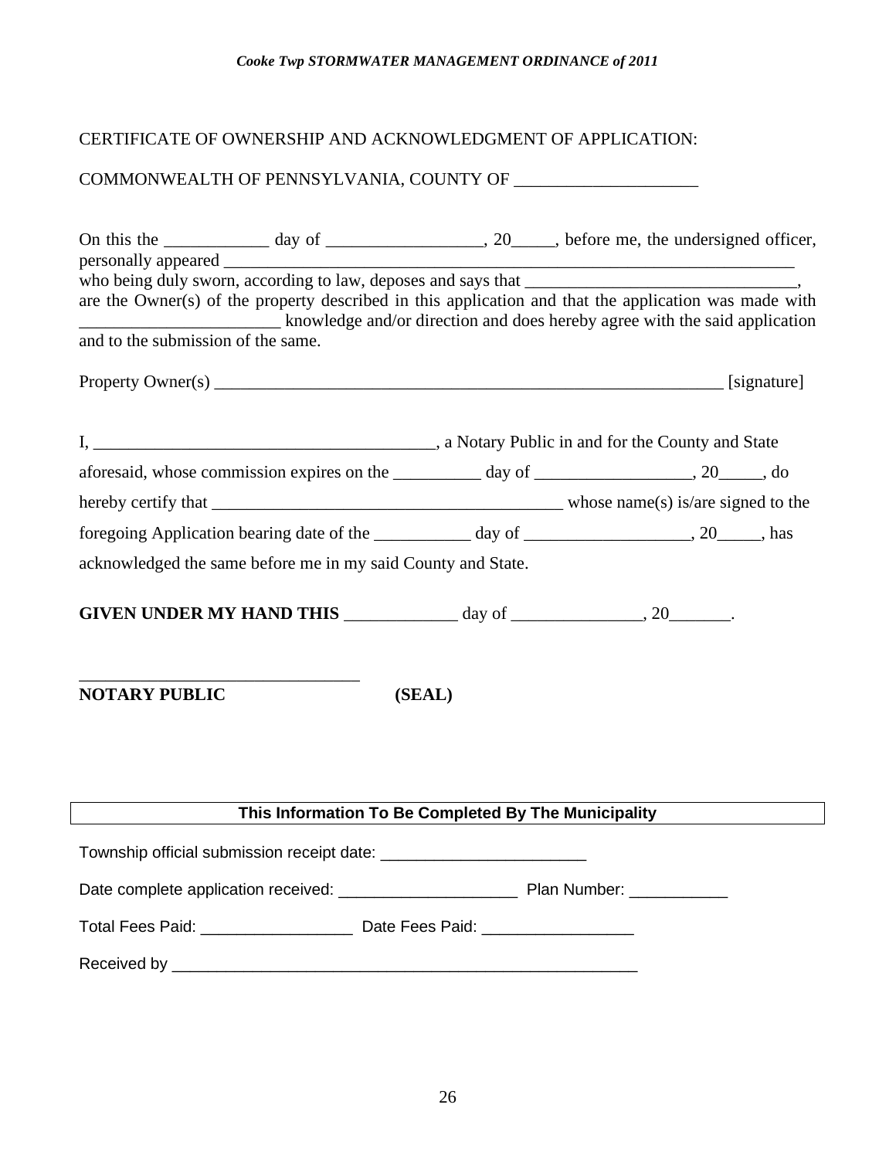# CERTIFICATE OF OWNERSHIP AND ACKNOWLEDGMENT OF APPLICATION:

# COMMONWEALTH OF PENNSYLVANIA, COUNTY OF \_\_\_\_\_\_\_\_\_\_\_\_\_\_\_\_\_\_\_\_\_

|                                    |                                                              |        | On this the _____________ day of ______________________, 20______, before me, the undersigned officer, |  |
|------------------------------------|--------------------------------------------------------------|--------|--------------------------------------------------------------------------------------------------------|--|
|                                    |                                                              |        |                                                                                                        |  |
|                                    |                                                              |        | are the Owner(s) of the property described in this application and that the application was made with  |  |
| and to the submission of the same. |                                                              |        | knowledge and/or direction and does hereby agree with the said application                             |  |
|                                    |                                                              |        |                                                                                                        |  |
|                                    |                                                              |        |                                                                                                        |  |
|                                    |                                                              |        |                                                                                                        |  |
|                                    |                                                              |        |                                                                                                        |  |
|                                    |                                                              |        | aforesaid, whose commission expires on the __________ day of _________________, 20_____, do            |  |
|                                    |                                                              |        |                                                                                                        |  |
|                                    |                                                              |        | foregoing Application bearing date of the ____________ day of ___________________, 20_____, has        |  |
|                                    | acknowledged the same before me in my said County and State. |        |                                                                                                        |  |
|                                    |                                                              |        |                                                                                                        |  |
|                                    |                                                              |        | GIVEN UNDER MY HAND THIS $\_\_\_\_\_\$ day of $\_\_\_\_\_\_\_$ , 20 $\_\_\_\_\_\_\,.$                  |  |
|                                    |                                                              |        |                                                                                                        |  |
|                                    |                                                              |        |                                                                                                        |  |
| <b>NOTARY PUBLIC</b>               |                                                              | (SEAL) |                                                                                                        |  |
|                                    |                                                              |        |                                                                                                        |  |
|                                    |                                                              |        |                                                                                                        |  |
|                                    |                                                              |        |                                                                                                        |  |
|                                    | This Information To Be Completed By The Municipality         |        |                                                                                                        |  |
|                                    |                                                              |        |                                                                                                        |  |
|                                    |                                                              |        |                                                                                                        |  |
|                                    |                                                              |        |                                                                                                        |  |
|                                    |                                                              |        |                                                                                                        |  |
|                                    |                                                              |        |                                                                                                        |  |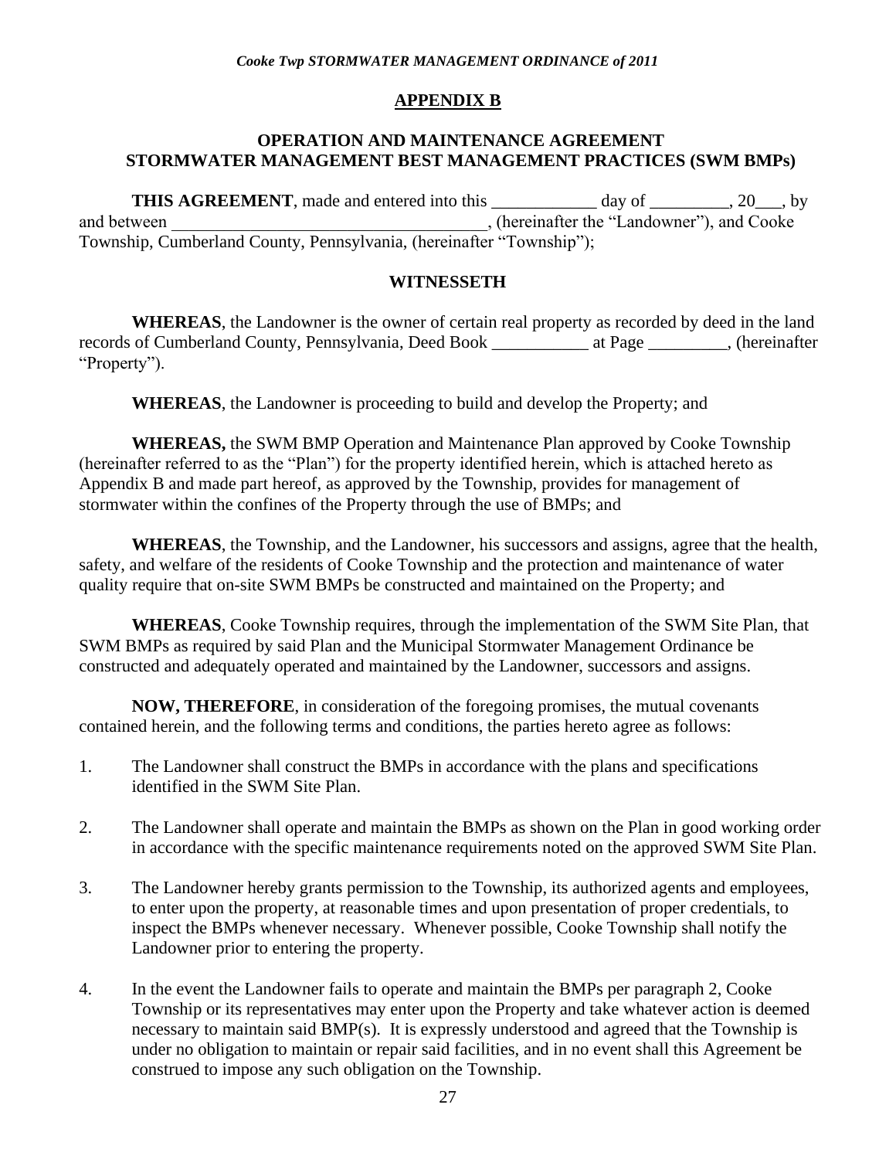# **APPENDIX B**

### **OPERATION AND MAINTENANCE AGREEMENT STORMWATER MANAGEMENT BEST MANAGEMENT PRACTICES (SWM BMPs)**

THIS AGREEMENT, made and entered into this \_\_\_\_\_\_\_\_\_\_\_ day of \_\_\_\_\_\_\_, 20\_\_, by and between the "Landowner"), and Cooke and between Township, Cumberland County, Pennsylvania, (hereinafter "Township");

### **WITNESSETH**

**WHEREAS**, the Landowner is the owner of certain real property as recorded by deed in the land records of Cumberland County, Pennsylvania, Deed Book \_\_\_\_\_\_\_\_\_\_\_ at Page \_\_\_\_\_\_\_\_\_, (hereinafter "Property").

**WHEREAS**, the Landowner is proceeding to build and develop the Property; and

**WHEREAS,** the SWM BMP Operation and Maintenance Plan approved by Cooke Township (hereinafter referred to as the "Plan") for the property identified herein, which is attached hereto as Appendix B and made part hereof, as approved by the Township, provides for management of stormwater within the confines of the Property through the use of BMPs; and

**WHEREAS**, the Township, and the Landowner, his successors and assigns, agree that the health, safety, and welfare of the residents of Cooke Township and the protection and maintenance of water quality require that on-site SWM BMPs be constructed and maintained on the Property; and

**WHEREAS**, Cooke Township requires, through the implementation of the SWM Site Plan, that SWM BMPs as required by said Plan and the Municipal Stormwater Management Ordinance be constructed and adequately operated and maintained by the Landowner, successors and assigns.

**NOW, THEREFORE**, in consideration of the foregoing promises, the mutual covenants contained herein, and the following terms and conditions, the parties hereto agree as follows:

- 1. The Landowner shall construct the BMPs in accordance with the plans and specifications identified in the SWM Site Plan.
- 2. The Landowner shall operate and maintain the BMPs as shown on the Plan in good working order in accordance with the specific maintenance requirements noted on the approved SWM Site Plan.
- 3. The Landowner hereby grants permission to the Township, its authorized agents and employees, to enter upon the property, at reasonable times and upon presentation of proper credentials, to inspect the BMPs whenever necessary. Whenever possible, Cooke Township shall notify the Landowner prior to entering the property.
- 4. In the event the Landowner fails to operate and maintain the BMPs per paragraph 2, Cooke Township or its representatives may enter upon the Property and take whatever action is deemed necessary to maintain said BMP(s). It is expressly understood and agreed that the Township is under no obligation to maintain or repair said facilities, and in no event shall this Agreement be construed to impose any such obligation on the Township.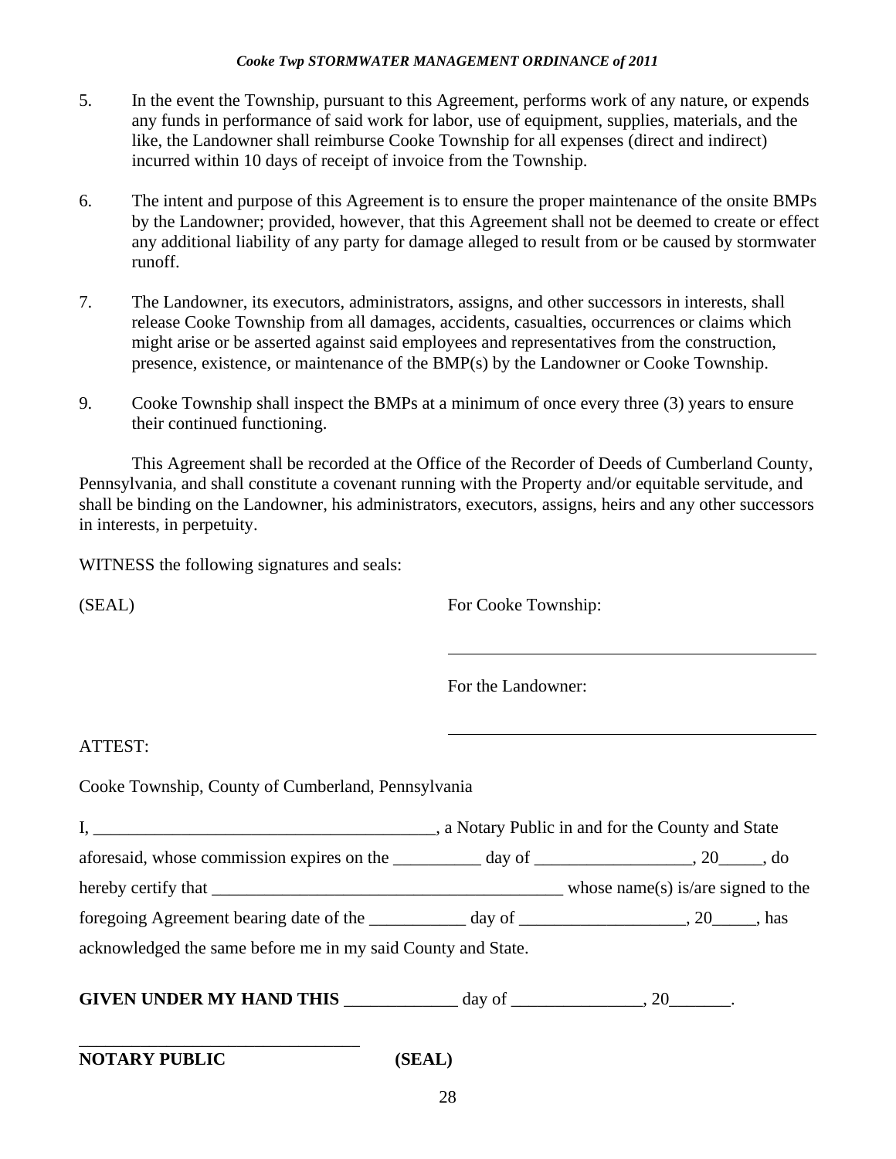- 5. In the event the Township, pursuant to this Agreement, performs work of any nature, or expends any funds in performance of said work for labor, use of equipment, supplies, materials, and the like, the Landowner shall reimburse Cooke Township for all expenses (direct and indirect) incurred within 10 days of receipt of invoice from the Township.
- 6. The intent and purpose of this Agreement is to ensure the proper maintenance of the onsite BMPs by the Landowner; provided, however, that this Agreement shall not be deemed to create or effect any additional liability of any party for damage alleged to result from or be caused by stormwater runoff.
- 7. The Landowner, its executors, administrators, assigns, and other successors in interests, shall release Cooke Township from all damages, accidents, casualties, occurrences or claims which might arise or be asserted against said employees and representatives from the construction, presence, existence, or maintenance of the BMP(s) by the Landowner or Cooke Township.
- 9. Cooke Township shall inspect the BMPs at a minimum of once every three (3) years to ensure their continued functioning.

This Agreement shall be recorded at the Office of the Recorder of Deeds of Cumberland County, Pennsylvania, and shall constitute a covenant running with the Property and/or equitable servitude, and shall be binding on the Landowner, his administrators, executors, assigns, heirs and any other successors in interests, in perpetuity.

WITNESS the following signatures and seals:

(SEAL) For Cooke Township:

For the Landowner:

# ATTEST:

Cooke Township, County of Cumberland, Pennsylvania

| aforesaid, whose commission expires on the ___________ day of ________________, 20_____, do     |  |
|-------------------------------------------------------------------------------------------------|--|
|                                                                                                 |  |
| foregoing Agreement bearing date of the _____________ day of ____________________, 20_____, has |  |
| acknowledged the same before me in my said County and State.                                    |  |
|                                                                                                 |  |

**GIVEN UNDER MY HAND THIS**  $\frac{1}{20}$  day of  $\frac{1}{20}$ .

| <b>NOTARY PUBLIC</b> |  |
|----------------------|--|
|----------------------|--|

\_\_\_\_\_\_\_\_\_\_\_\_\_\_\_\_\_\_\_\_\_\_\_\_\_\_\_\_\_\_\_\_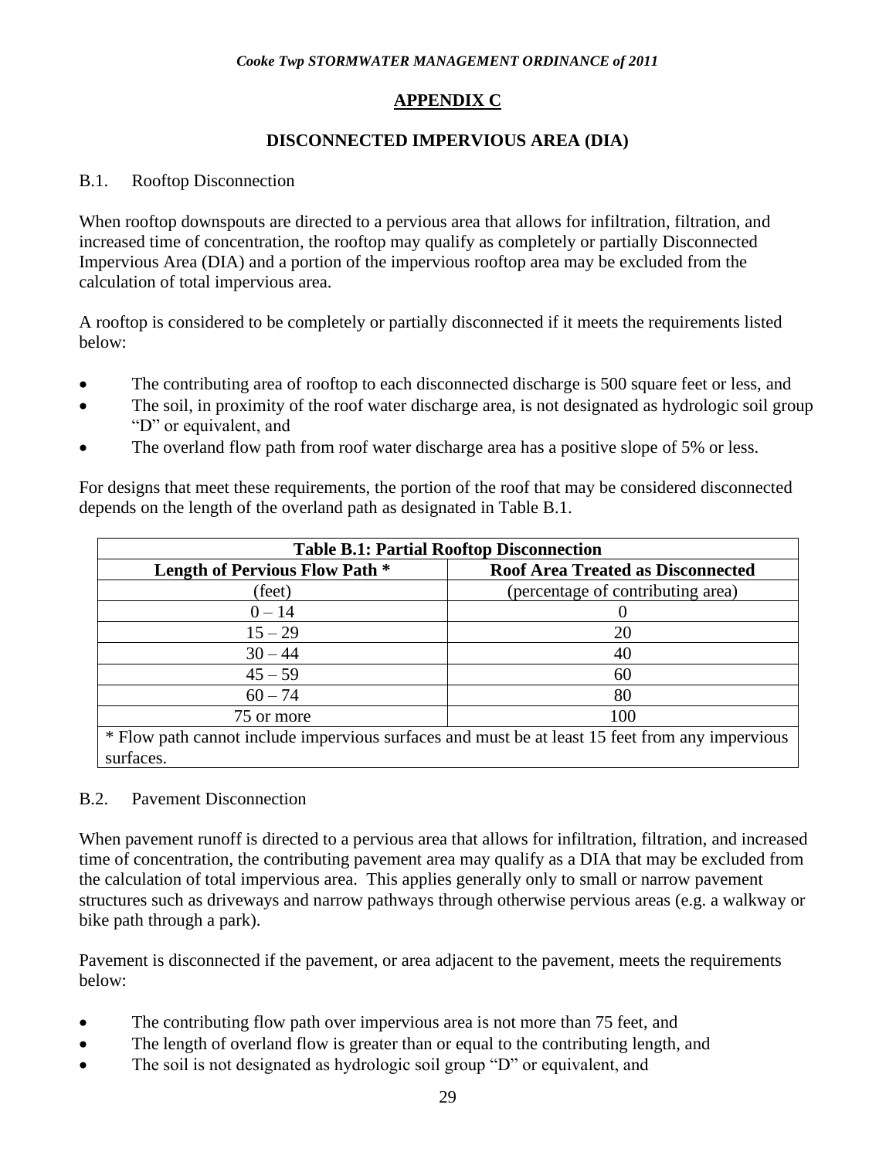# **APPENDIX C**

# **DISCONNECTED IMPERVIOUS AREA (DIA)**

# B.1. Rooftop Disconnection

When rooftop downspouts are directed to a pervious area that allows for infiltration, filtration, and increased time of concentration, the rooftop may qualify as completely or partially Disconnected Impervious Area (DIA) and a portion of the impervious rooftop area may be excluded from the calculation of total impervious area.

A rooftop is considered to be completely or partially disconnected if it meets the requirements listed below:

- The contributing area of rooftop to each disconnected discharge is 500 square feet or less, and
- The soil, in proximity of the roof water discharge area, is not designated as hydrologic soil group "D" or equivalent, and
- The overland flow path from roof water discharge area has a positive slope of 5% or less.

For designs that meet these requirements, the portion of the roof that may be considered disconnected depends on the length of the overland path as designated in Table B.1.

| <b>Table B.1: Partial Rooftop Disconnection</b>                                                              |                                          |  |  |
|--------------------------------------------------------------------------------------------------------------|------------------------------------------|--|--|
| <b>Length of Pervious Flow Path *</b>                                                                        | <b>Roof Area Treated as Disconnected</b> |  |  |
| (feet)                                                                                                       | (percentage of contributing area)        |  |  |
| $0 - 14$                                                                                                     |                                          |  |  |
| $15 - 29$                                                                                                    | 20                                       |  |  |
| $30 - 44$                                                                                                    | 40                                       |  |  |
| $45 - 59$                                                                                                    | 60                                       |  |  |
| $60 - 74$                                                                                                    | 80                                       |  |  |
| 100<br>75 or more                                                                                            |                                          |  |  |
| * Flow path cannot include impervious surfaces and must be at least 15 feet from any impervious<br>surfaces. |                                          |  |  |

# B.2. Pavement Disconnection

When pavement runoff is directed to a pervious area that allows for infiltration, filtration, and increased time of concentration, the contributing pavement area may qualify as a DIA that may be excluded from the calculation of total impervious area. This applies generally only to small or narrow pavement structures such as driveways and narrow pathways through otherwise pervious areas (e.g. a walkway or bike path through a park).

Pavement is disconnected if the pavement, or area adjacent to the pavement, meets the requirements below:

- The contributing flow path over impervious area is not more than 75 feet, and
- The length of overland flow is greater than or equal to the contributing length, and
- The soil is not designated as hydrologic soil group "D" or equivalent, and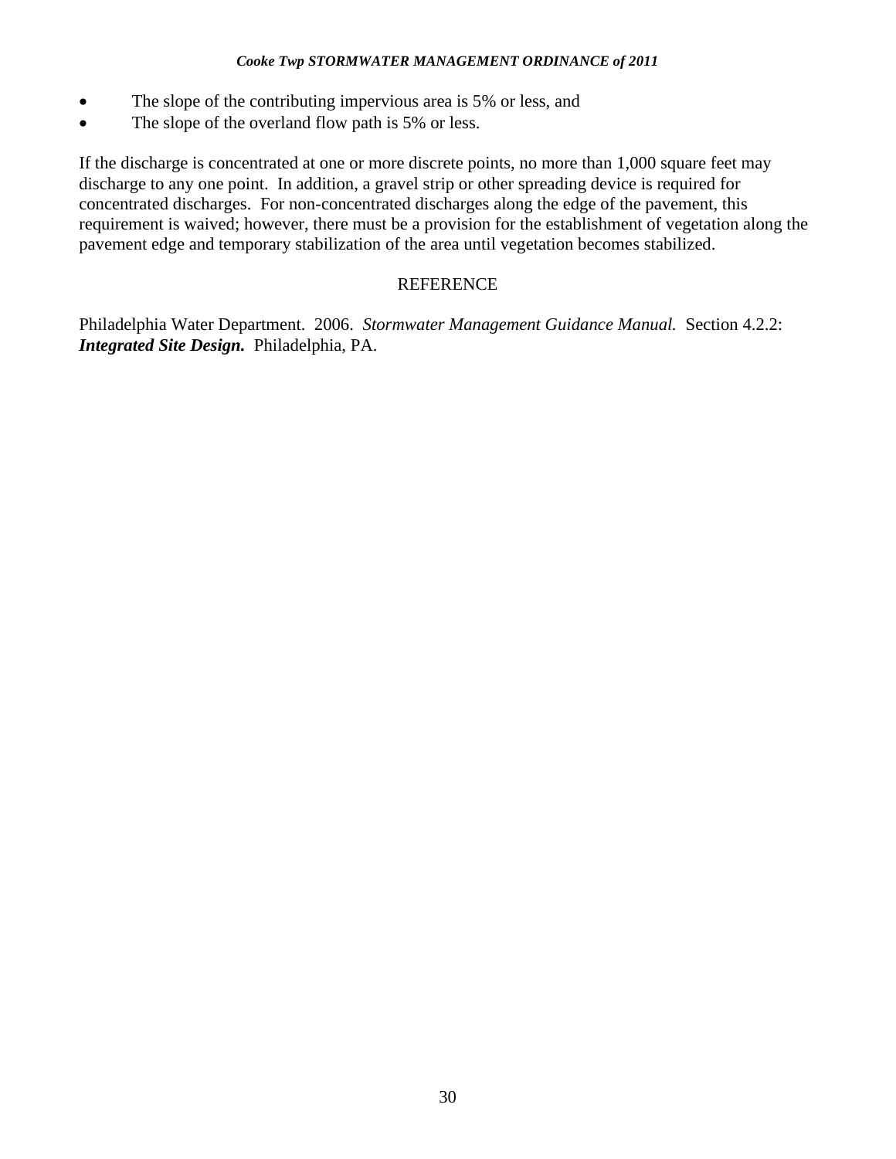- The slope of the contributing impervious area is 5% or less, and
- The slope of the overland flow path is 5% or less.

If the discharge is concentrated at one or more discrete points, no more than 1,000 square feet may discharge to any one point. In addition, a gravel strip or other spreading device is required for concentrated discharges. For non-concentrated discharges along the edge of the pavement, this requirement is waived; however, there must be a provision for the establishment of vegetation along the pavement edge and temporary stabilization of the area until vegetation becomes stabilized.

### **REFERENCE**

Philadelphia Water Department. 2006. *Stormwater Management Guidance Manual.* Section 4.2.2: *Integrated Site Design.* Philadelphia, PA.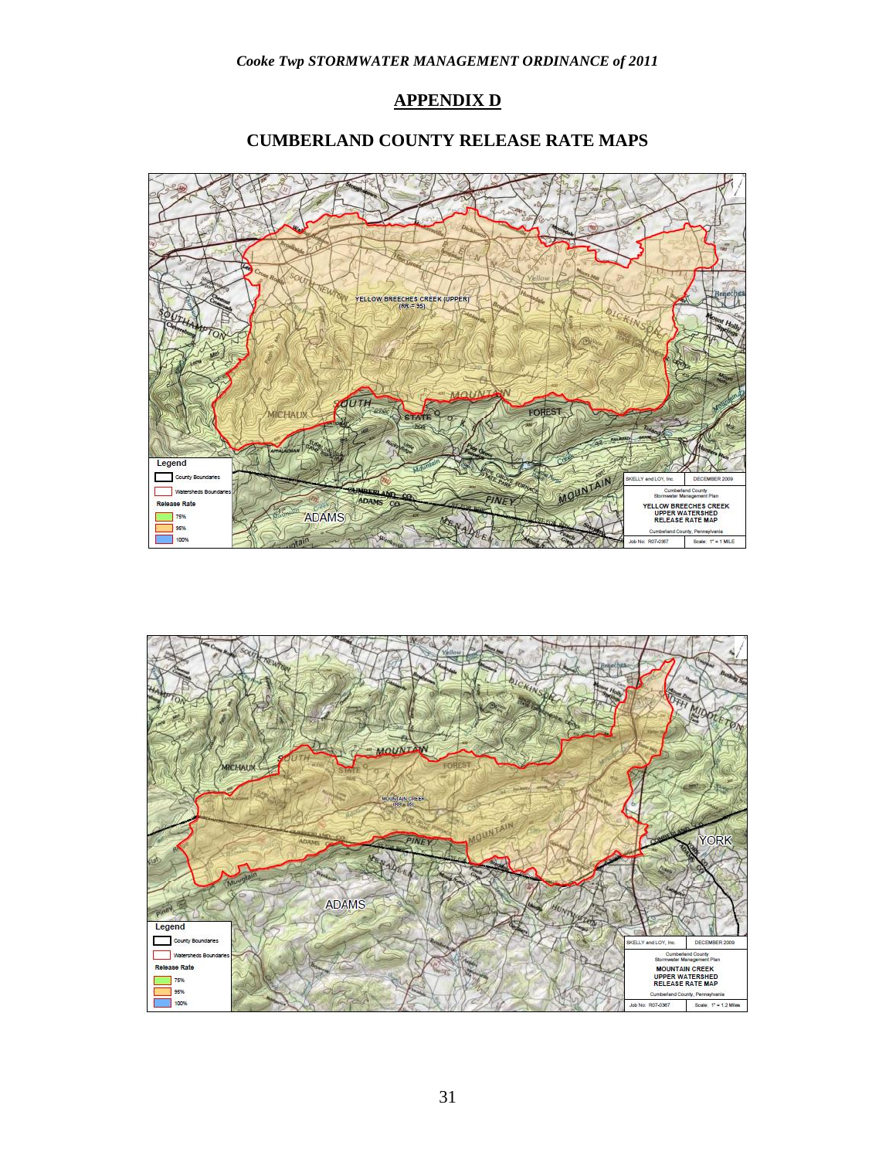# **APPENDIX D**

# **CUMBERLAND COUNTY RELEASE RATE MAPS**



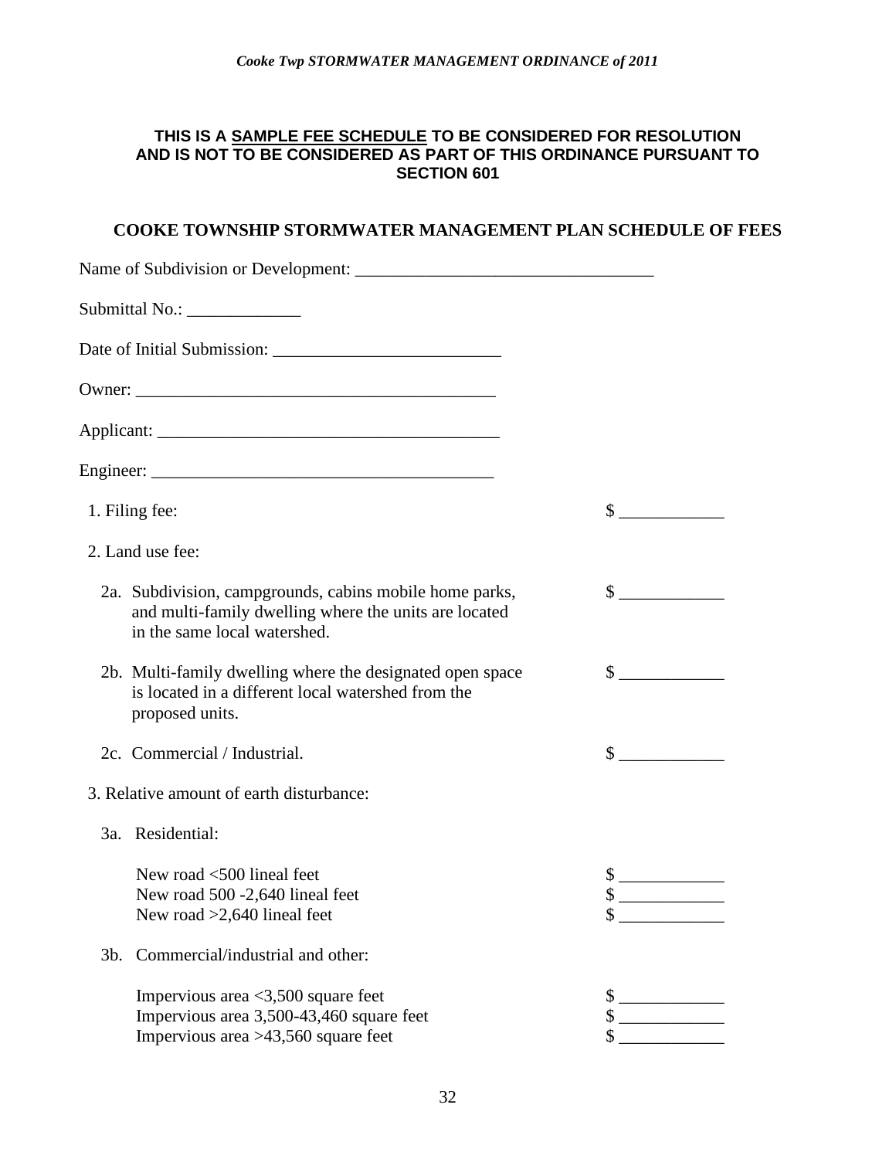### **THIS IS A SAMPLE FEE SCHEDULE TO BE CONSIDERED FOR RESOLUTION AND IS NOT TO BE CONSIDERED AS PART OF THIS ORDINANCE PURSUANT TO SECTION 601**

# **COOKE TOWNSHIP STORMWATER MANAGEMENT PLAN SCHEDULE OF FEES**

| Name of Subdivision or Development:                                                                                                              |                                                                                                                                                     |
|--------------------------------------------------------------------------------------------------------------------------------------------------|-----------------------------------------------------------------------------------------------------------------------------------------------------|
| Submittal No.: _______________                                                                                                                   |                                                                                                                                                     |
|                                                                                                                                                  |                                                                                                                                                     |
|                                                                                                                                                  |                                                                                                                                                     |
|                                                                                                                                                  |                                                                                                                                                     |
|                                                                                                                                                  |                                                                                                                                                     |
| 1. Filing fee:                                                                                                                                   | $\mathbb{S}$                                                                                                                                        |
| 2. Land use fee:                                                                                                                                 |                                                                                                                                                     |
| 2a. Subdivision, campgrounds, cabins mobile home parks,<br>and multi-family dwelling where the units are located<br>in the same local watershed. | $\sim$                                                                                                                                              |
| 2b. Multi-family dwelling where the designated open space<br>is located in a different local watershed from the<br>proposed units.               | $\sim$                                                                                                                                              |
| 2c. Commercial / Industrial.                                                                                                                     | $\mathbb{S}$                                                                                                                                        |
| 3. Relative amount of earth disturbance:                                                                                                         |                                                                                                                                                     |
| 3a. Residential:                                                                                                                                 |                                                                                                                                                     |
| New road <500 lineal feet<br>New road 500 -2,640 lineal feet<br>New road $>2,640$ lineal feet                                                    | $\frac{\text{S}}{\text{S}}$<br><u> 1980 - Jan Barbara Barat III, prima postala prima prima prima prima prima prima prima prima prima prima prim</u> |
| Commercial/industrial and other:<br>$3b$ .                                                                                                       |                                                                                                                                                     |
| Impervious area $\langle 3, 500 \rangle$ square feet<br>Impervious area 3,500-43,460 square feet<br>Impervious area >43,560 square feet          | \$<br>\$                                                                                                                                            |